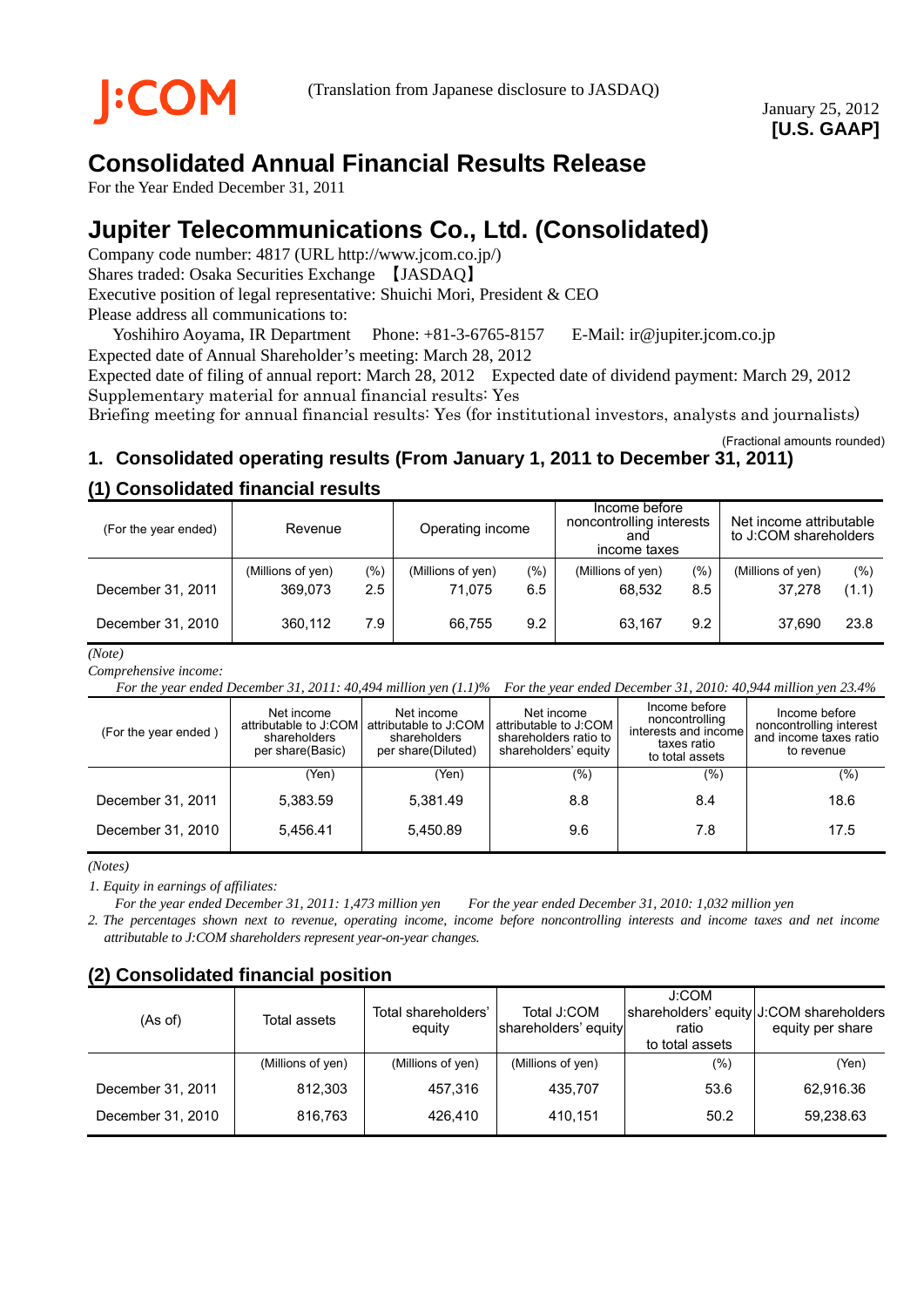

# **Consolidated Annual Financial Results Release**

For the Year Ended December 31, 2011

# **Jupiter Telecommunications Co., Ltd. (Consolidated)**

Company code number: 4817 (URL http://www.jcom.co.jp/) Shares traded: Osaka Securities Exchange 【JASDAQ】 Executive position of legal representative: Shuichi Mori, President & CEO Please address all communications to:

Yoshihiro Aoyama, IR Department Phone: +81-3-6765-8157 E-Mail: ir@jupiter.jcom.co.jp Expected date of Annual Shareholder's meeting: March 28, 2012

Expected date of filing of annual report: March 28, 2012 Expected date of dividend payment: March 29, 2012 Supplementary material for annual financial results: Yes

Briefing meeting for annual financial results: Yes (for institutional investors, analysts and journalists)

(Fractional amounts rounded)

## **1. Consolidated operating results (From January 1, 2011 to December 31, 2011)**

## **(1) Consolidated financial results**

| (For the year ended) | Revenue                      |              | Operating income            |            | Income before<br>noncontrolling interests<br>and<br>income taxes |                | Net income attributable<br>to J:COM shareholders |              |
|----------------------|------------------------------|--------------|-----------------------------|------------|------------------------------------------------------------------|----------------|--------------------------------------------------|--------------|
| December 31, 2011    | (Millions of yen)<br>369.073 | (9/0)<br>2.5 | (Millions of yen)<br>71.075 | (%)<br>6.5 | (Millions of yen)<br>68.532                                      | $(\% )$<br>8.5 | (Millions of yen)<br>37.278                      | (%)<br>(1.1) |
| December 31, 2010    | 360.112                      | 7.9          | 66.755                      | 9.2        | 63.167                                                           | 9.2            | 37.690                                           | 23.8         |

*(Note)*

*Comprehensive income:* 

*For the year ended December 31, 2011: 40,494 million yen (1.1)% For the year ended December 31, 2010: 40,944 million yen 23.4%*

| (For the year ended) | Net income<br>shareholders<br>per share(Basic) | Net income<br>attributable to J:COM attributable to J:COM<br>shareholders<br>per share(Diluted) | Net income<br>attributable to J:COM<br>shareholders ratio to<br>shareholders' equity | Income before<br>noncontrolling<br>interests and income<br>taxes ratio<br>to total assets | Income before<br>noncontrolling interest<br>and income taxes ratio<br>to revenue |
|----------------------|------------------------------------------------|-------------------------------------------------------------------------------------------------|--------------------------------------------------------------------------------------|-------------------------------------------------------------------------------------------|----------------------------------------------------------------------------------|
|                      | Yen)                                           | (Yen)                                                                                           | $(\%)$                                                                               | (% )                                                                                      | $(\% )$                                                                          |
| December 31, 2011    | 5.383.59                                       | 5.381.49                                                                                        | 8.8                                                                                  | 8.4                                                                                       | 18.6                                                                             |
| December 31, 2010    | 5.456.41                                       | 5,450.89                                                                                        | 9.6                                                                                  | 7.8                                                                                       | 17.5                                                                             |

*(Notes)* 

*1. Equity in earnings of affiliates:* 

*For the year ended December 31, 2011: 1,473 million yen For the year ended December 31, 2010: 1,032 million yen*

*2. The percentages shown next to revenue, operating income, income before noncontrolling interests and income taxes and net income attributable to J:COM shareholders represent year-on-year changes.* 

## **(2) Consolidated financial position**

| (As of)           | Total assets      | Total shareholders'<br>equity | Total J:COM<br>shareholders' equity | J:COM<br>ratio<br>to total assets | shareholders' equity J:COM shareholders<br>equity per share |
|-------------------|-------------------|-------------------------------|-------------------------------------|-----------------------------------|-------------------------------------------------------------|
|                   | (Millions of yen) | (Millions of yen)             | (Millions of yen)                   | (%)                               | (Yen)                                                       |
| December 31, 2011 | 812.303           | 457,316                       | 435.707                             | 53.6                              | 62.916.36                                                   |
| December 31, 2010 | 816,763           | 426.410                       | 410.151                             | 50.2                              | 59,238.63                                                   |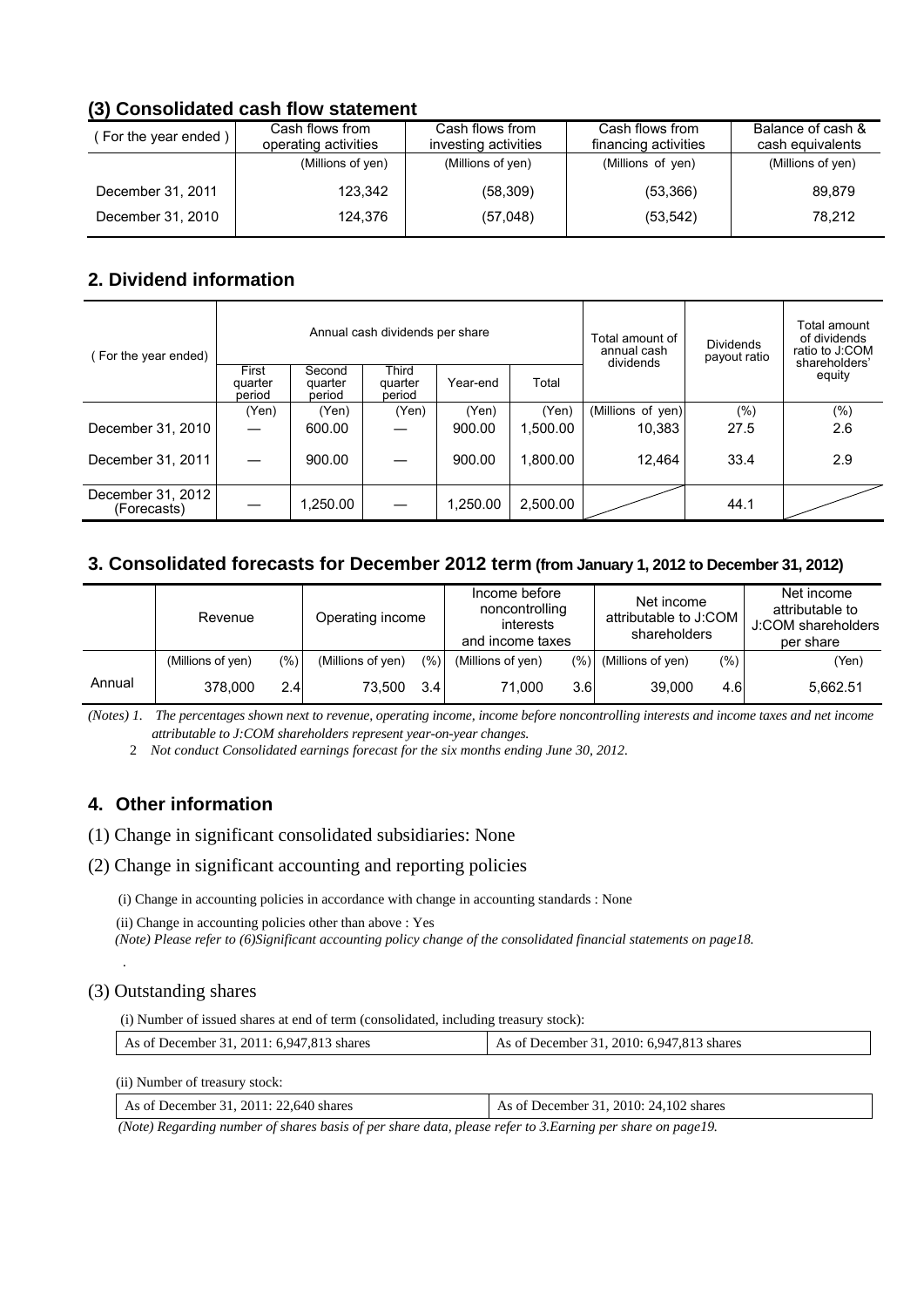## **(3) Consolidated cash flow statement**

| For the year ended) | Cash flows from<br>operating activities | Cash flows from<br>investing activities | Cash flows from<br>financing activities | Balance of cash &<br>cash equivalents |
|---------------------|-----------------------------------------|-----------------------------------------|-----------------------------------------|---------------------------------------|
|                     | (Millions of yen)                       | (Millions of yen)                       | (Millions of yen)                       | (Millions of yen)                     |
| December 31, 2011   | 123.342                                 | (58, 309)                               | (53,366)                                | 89.879                                |
| December 31, 2010   | 124.376                                 | (57,048)                                | (53, 542)                               | 78.212                                |

## **2. Dividend information**

| (For the year ended)             |                            |                             | Annual cash dividends per share |          |          | Total amount of<br>annual cash | <b>Dividends</b><br>payout ratio | Total amount<br>of dividends<br>ratio to J:COM |
|----------------------------------|----------------------------|-----------------------------|---------------------------------|----------|----------|--------------------------------|----------------------------------|------------------------------------------------|
|                                  | First<br>quarter<br>period | Second<br>quarter<br>period | Third<br>quarter<br>period      | Year-end | Total    | dividends                      |                                  | shareholders'<br>equity                        |
|                                  | (Yen)                      | (Yen)                       | (Yen)                           | (Yen)    | (Yen)    | (Millions of yen)              | $(\% )$                          | $(\% )$                                        |
| December 31, 2010                |                            | 600.00                      |                                 | 900.00   | 1.500.00 | 10,383                         | 27.5                             | 2.6                                            |
| December 31, 2011                |                            | 900.00                      |                                 | 900.00   | 1,800.00 | 12,464                         | 33.4                             | 2.9                                            |
| December 31, 2012<br>(Forecasts) |                            | 1,250.00                    |                                 | 1,250.00 | 2,500.00 |                                | 44.1                             |                                                |

## **3. Consolidated forecasts for December 2012 term (from January 1, 2012 to December 31, 2012)**

|        | Revenue           |     | Operating income  |      | Income before<br>noncontrolling<br>interests<br>and income taxes |      | Net income<br>attributable to J:COM<br>shareholders |      | Net income<br>attributable to<br>J:COM shareholders<br>per share |  |
|--------|-------------------|-----|-------------------|------|------------------------------------------------------------------|------|-----------------------------------------------------|------|------------------------------------------------------------------|--|
|        | (Millions of yen) | (%) | (Millions of yen) | (96) | (Millions of yen)                                                | (% ) | (Millions of yen)                                   | (% ) | (Yen)                                                            |  |
| Annual | 378,000           | 2.4 | 73.500            | 3.4  | 71.000                                                           | 3.6  | 39,000                                              | 4.6  | 5.662.51                                                         |  |

*(Notes) 1. The percentages shown next to revenue, operating income, income before noncontrolling interests and income taxes and net income attributable to J:COM shareholders represent year-on-year changes.* 

2 *Not conduct Consolidated earnings forecast for the six months ending June 30, 2012.* 

## **4. Other information**

(1) Change in significant consolidated subsidiaries: None

### (2) Change in significant accounting and reporting policies

(i) Change in accounting policies in accordance with change in accounting standards : None

(ii) Change in accounting policies other than above : Yes

*(Note) Please refer to (6)Significant accounting policy change of the consolidated financial statements on page18.*

### (3) Outstanding shares

 *.*

(i) Number of issued shares at end of term (consolidated, including treasury stock):

| As of December 31, 2011: 6,947,813 shares | As of December 31, 2010: 6,947,813 shares |
|-------------------------------------------|-------------------------------------------|
|-------------------------------------------|-------------------------------------------|

(ii) Number of treasury stock:

As of December 31,

| $2011: 22.640$ shares | $\vert$ As of December 31, 2010: 24,102 shares |
|-----------------------|------------------------------------------------|
|-----------------------|------------------------------------------------|

 *(Note) Regarding number of shares basis of per share data, please refer to 3.Earning per share on page19.*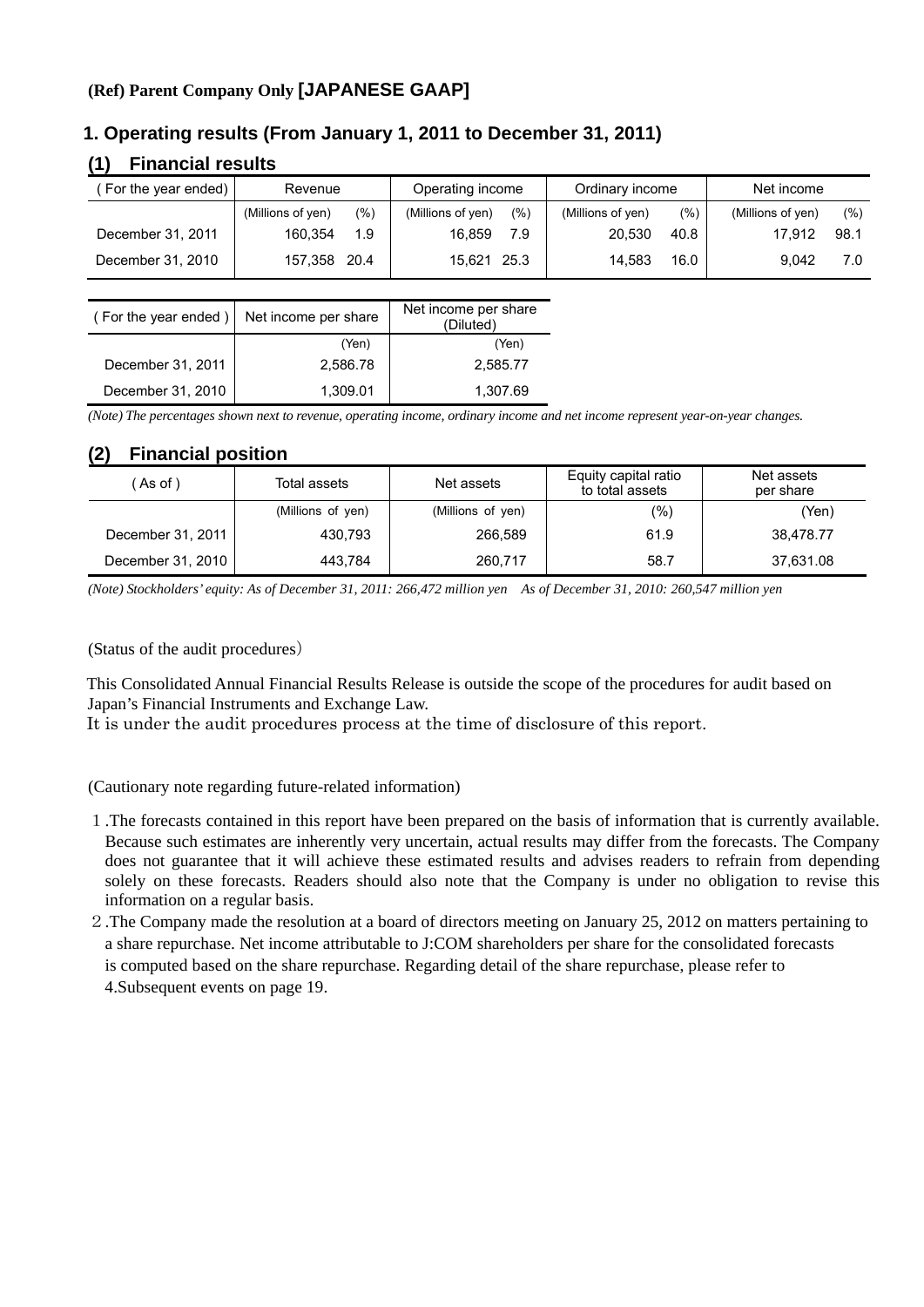## **(Ref) Parent Company Only [JAPANESE GAAP]**

## **1. Operating results (From January 1, 2011 to December 31, 2011)**

## **(1) Financial results**

| For the year ended) | Revenue           |     | Operating income  |      | Ordinary income   |      | Net income        |      |
|---------------------|-------------------|-----|-------------------|------|-------------------|------|-------------------|------|
|                     | (Millions of yen) | (%) | (Millions of yen) | (% ) | (Millions of yen) | (%)  | (Millions of yen) | (%)  |
| December 31, 2011   | 160.354           | 1.9 | 16.859            | 7.9  | 20.530            | 40.8 | 17.912            | 98.1 |
| December 31, 2010   | 157,358 20.4      |     | 15.621 25.3       |      | 14.583            | 16.0 | 9.042             | 7.0  |

| (For the year ended) | Net income per share | Net income per share<br>(Diluted) |
|----------------------|----------------------|-----------------------------------|
|                      | (Yen)                | (Yen)                             |
| December 31, 2011    | 2,586.78             | 2,585.77                          |
| December 31, 2010    | 1,309.01             | 1,307.69                          |

*(Note) The percentages shown next to revenue, operating income, ordinary income and net income represent year-on-year changes.*

## **(2) Financial position**

| As of )           | Total assets      | Net assets        | Equity capital ratio<br>to total assets | Net assets<br>per share |
|-------------------|-------------------|-------------------|-----------------------------------------|-------------------------|
|                   | (Millions of yen) | (Millions of yen) | (%)                                     | (Yen)                   |
| December 31, 2011 | 430.793           | 266.589           | 61.9                                    | 38.478.77               |
| December 31, 2010 | 443.784           | 260.717           | 58.7                                    | 37,631.08               |

*(Note) Stockholders' equity: As of December 31, 2011: 266,472 million yen As of December 31, 2010: 260,547 million yen* 

(Status of the audit procedures)

This Consolidated Annual Financial Results Release is outside the scope of the procedures for audit based on Japan's Financial Instruments and Exchange Law.

It is under the audit procedures process at the time of disclosure of this report.

(Cautionary note regarding future-related information)

- 1.The forecasts contained in this report have been prepared on the basis of information that is currently available. Because such estimates are inherently very uncertain, actual results may differ from the forecasts. The Company does not guarantee that it will achieve these estimated results and advises readers to refrain from depending solely on these forecasts. Readers should also note that the Company is under no obligation to revise this information on a regular basis.
- 2.The Company made the resolution at a board of directors meeting on January 25, 2012 on matters pertaining to a share repurchase. Net income attributable to J:COM shareholders per share for the consolidated forecasts is computed based on the share repurchase. Regarding detail of the share repurchase, please refer to 4.Subsequent events on page 19.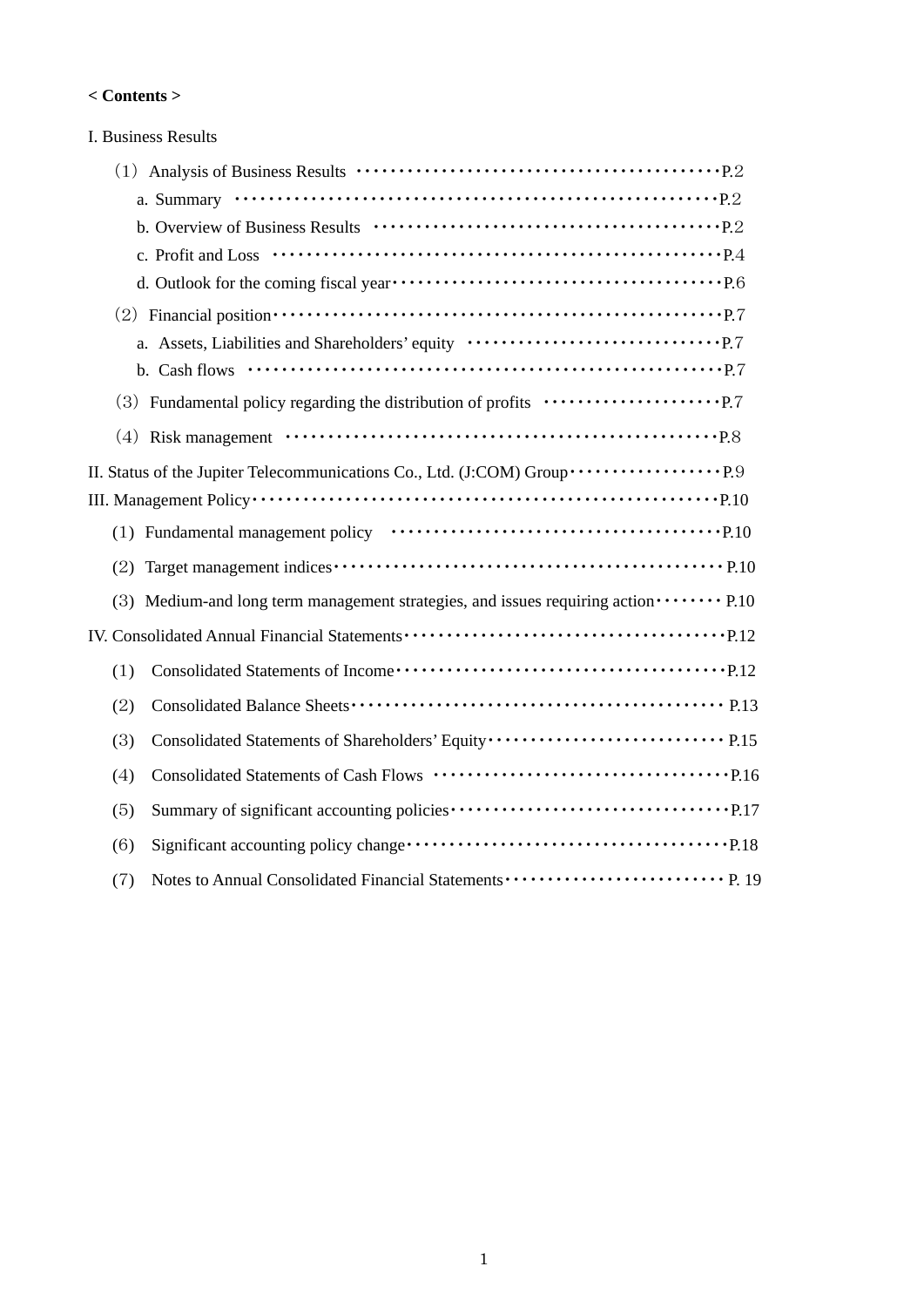#### **< Contents >**

| I. Business Results                                                                                                     |
|-------------------------------------------------------------------------------------------------------------------------|
|                                                                                                                         |
|                                                                                                                         |
|                                                                                                                         |
|                                                                                                                         |
|                                                                                                                         |
| (2) Financial position $\cdots \cdots \cdots \cdots \cdots \cdots \cdots \cdots \cdots \cdots \cdots \cdots \cdots$ P.7 |
| a. Assets, Liabilities and Shareholders' equity $\cdots \cdots \cdots \cdots \cdots \cdots \cdots \cdots \cdots$ P.7    |
|                                                                                                                         |
|                                                                                                                         |
|                                                                                                                         |
|                                                                                                                         |
|                                                                                                                         |
|                                                                                                                         |
|                                                                                                                         |
| (3) Medium-and long term management strategies, and issues requiring action $\cdots \cdots$ P.10                        |
|                                                                                                                         |
| (1)                                                                                                                     |
| (2)                                                                                                                     |
| Consolidated Statements of Shareholders' Equity ································ P.15<br>(3)                            |
| (4)                                                                                                                     |
| (5)                                                                                                                     |
| (6)                                                                                                                     |
| (7)                                                                                                                     |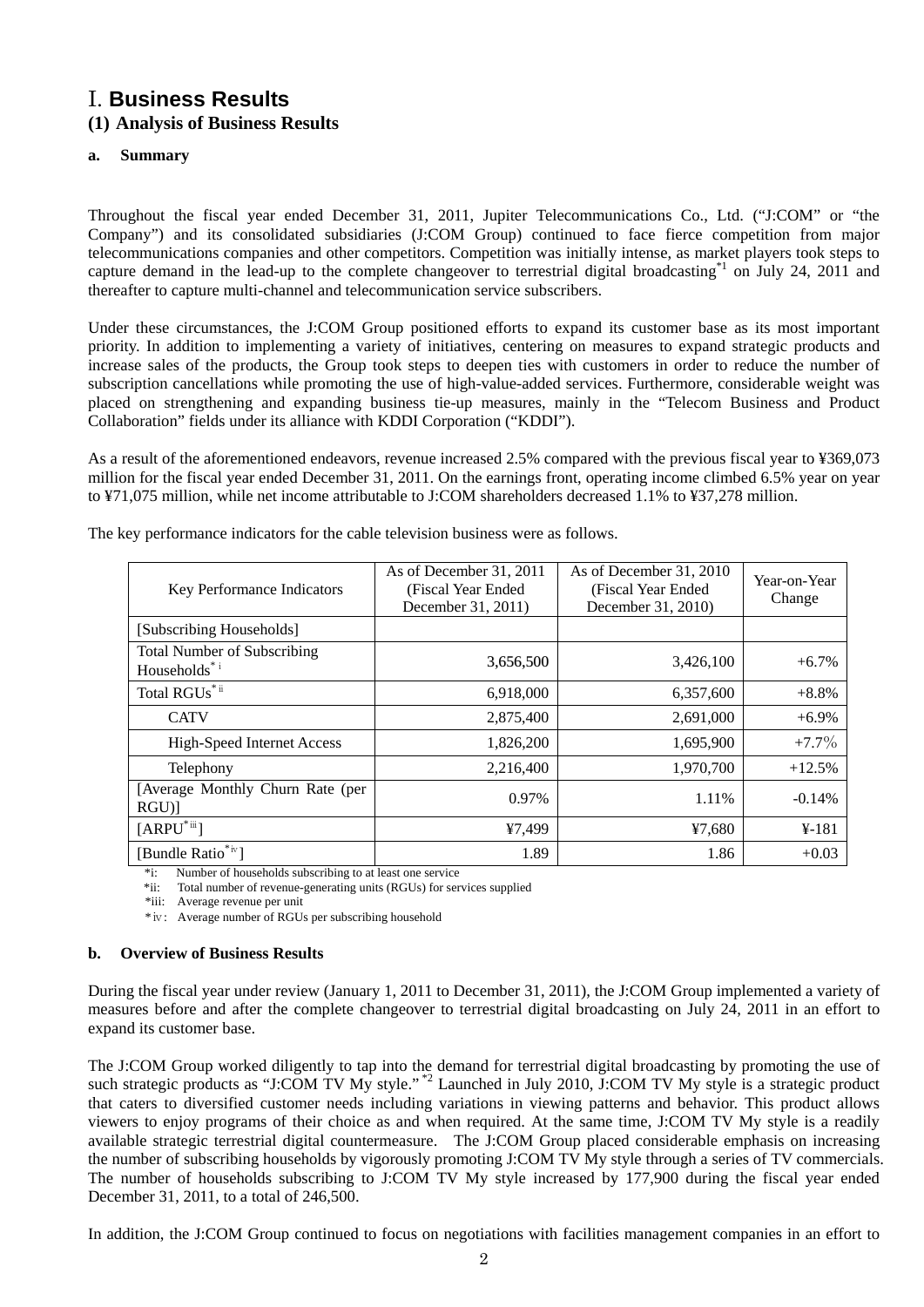# I. **Business Results**

## **(1) Analysis of Business Results**

#### **a. Summary**

Throughout the fiscal year ended December 31, 2011, Jupiter Telecommunications Co., Ltd. ("J:COM" or "the Company") and its consolidated subsidiaries (J:COM Group) continued to face fierce competition from major telecommunications companies and other competitors. Competition was initially intense, as market players took steps to capture demand in the lead-up to the complete changeover to terrestrial digital broadcasting\*1 on July 24, 2011 and thereafter to capture multi-channel and telecommunication service subscribers.

Under these circumstances, the J:COM Group positioned efforts to expand its customer base as its most important priority. In addition to implementing a variety of initiatives, centering on measures to expand strategic products and increase sales of the products, the Group took steps to deepen ties with customers in order to reduce the number of subscription cancellations while promoting the use of high-value-added services. Furthermore, considerable weight was placed on strengthening and expanding business tie-up measures, mainly in the "Telecom Business and Product Collaboration" fields under its alliance with KDDI Corporation ("KDDI").

As a result of the aforementioned endeavors, revenue increased 2.5% compared with the previous fiscal year to ¥369,073 million for the fiscal year ended December 31, 2011. On the earnings front, operating income climbed 6.5% year on year to ¥71,075 million, while net income attributable to J:COM shareholders decreased 1.1% to ¥37,278 million.

| Key Performance Indicators                         | As of December 31, 2011<br>(Fiscal Year Ended)<br>December 31, 2011) | As of December 31, 2010<br>(Fiscal Year Ended)<br>December 31, 2010) | Year-on-Year<br>Change |
|----------------------------------------------------|----------------------------------------------------------------------|----------------------------------------------------------------------|------------------------|
| [Subscribing Households]                           |                                                                      |                                                                      |                        |
| <b>Total Number of Subscribing</b><br>Households*i | 3,656,500                                                            | 3,426,100                                                            | $+6.7\%$               |
| Total RGUs <sup>*ii</sup>                          | 6,918,000                                                            | 6,357,600                                                            | $+8.8%$                |
| <b>CATV</b>                                        | 2,875,400                                                            | 2,691,000                                                            | $+6.9\%$               |
| <b>High-Speed Internet Access</b>                  | 1,826,200                                                            | 1,695,900                                                            | $+7.7\%$               |
| Telephony                                          | 2,216,400                                                            | 1,970,700                                                            | $+12.5%$               |
| [Average Monthly Churn Rate (per<br>$RGU$ ]        | 0.97%                                                                | 1.11%                                                                | $-0.14%$               |
| $[ARPU^*$ iii]                                     | ¥7,499                                                               | ¥7,680                                                               | $4 - 181$              |
| [Bundle Ratio <sup>*iv</sup> ]                     | 1.89                                                                 | 1.86                                                                 | $+0.03$                |

The key performance indicators for the cable television business were as follows.

\*i: Number of households subscribing to at least one service

\*ii: Total number of revenue-generating units (RGUs) for services supplied

\*iii: Average revenue per unit

\*ⅳ: Average number of RGUs per subscribing household

#### **b. Overview of Business Results**

During the fiscal year under review (January 1, 2011 to December 31, 2011), the J:COM Group implemented a variety of measures before and after the complete changeover to terrestrial digital broadcasting on July 24, 2011 in an effort to expand its customer base.

The J:COM Group worked diligently to tap into the demand for terrestrial digital broadcasting by promoting the use of such strategic products as "J:COM TV My style."<sup>\*2</sup> Launched in July 2010, J:COM TV My style is a strategic product that caters to diversified customer needs including variations in viewing patterns and behavior. This product allows viewers to enjoy programs of their choice as and when required. At the same time, J:COM TV My style is a readily available strategic terrestrial digital countermeasure. The J:COM Group placed considerable emphasis on increasing the number of subscribing households by vigorously promoting J:COM TV My style through a series of TV commercials. The number of households subscribing to J:COM TV My style increased by 177,900 during the fiscal year ended December 31, 2011, to a total of 246,500.

In addition, the J:COM Group continued to focus on negotiations with facilities management companies in an effort to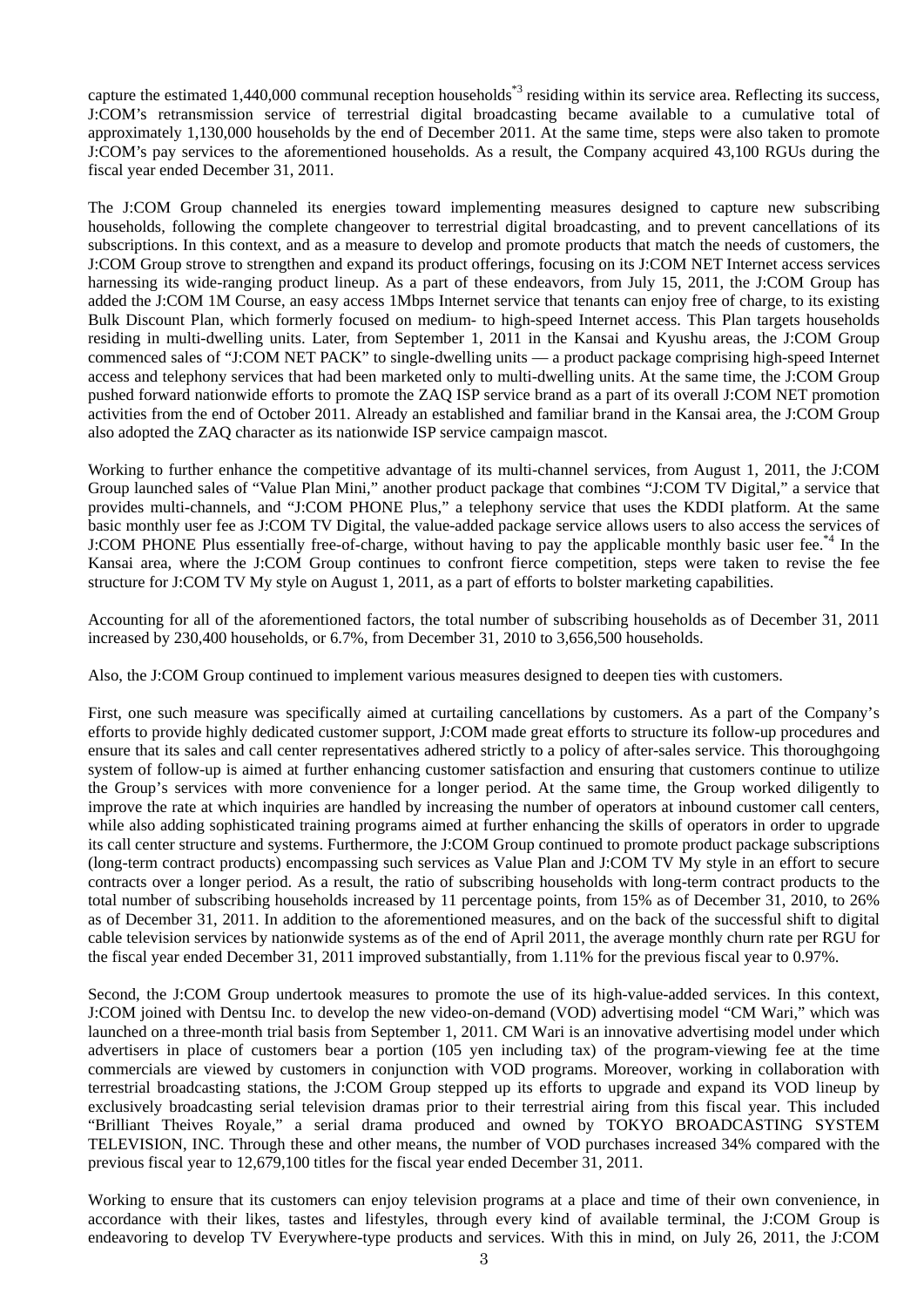capture the estimated 1,440,000 communal reception households\*3 residing within its service area. Reflecting its success, J:COM's retransmission service of terrestrial digital broadcasting became available to a cumulative total of approximately 1,130,000 households by the end of December 2011. At the same time, steps were also taken to promote J:COM's pay services to the aforementioned households. As a result, the Company acquired 43,100 RGUs during the fiscal year ended December 31, 2011.

The J:COM Group channeled its energies toward implementing measures designed to capture new subscribing households, following the complete changeover to terrestrial digital broadcasting, and to prevent cancellations of its subscriptions. In this context, and as a measure to develop and promote products that match the needs of customers, the J:COM Group strove to strengthen and expand its product offerings, focusing on its J:COM NET Internet access services harnessing its wide-ranging product lineup. As a part of these endeavors, from July 15, 2011, the J:COM Group has added the J:COM 1M Course, an easy access 1Mbps Internet service that tenants can enjoy free of charge, to its existing Bulk Discount Plan, which formerly focused on medium- to high-speed Internet access. This Plan targets households residing in multi-dwelling units. Later, from September 1, 2011 in the Kansai and Kyushu areas, the J:COM Group commenced sales of "J:COM NET PACK" to single-dwelling units — a product package comprising high-speed Internet access and telephony services that had been marketed only to multi-dwelling units. At the same time, the J:COM Group pushed forward nationwide efforts to promote the ZAQ ISP service brand as a part of its overall J:COM NET promotion activities from the end of October 2011. Already an established and familiar brand in the Kansai area, the J:COM Group also adopted the ZAQ character as its nationwide ISP service campaign mascot.

Working to further enhance the competitive advantage of its multi-channel services, from August 1, 2011, the J:COM Group launched sales of "Value Plan Mini," another product package that combines "J:COM TV Digital," a service that provides multi-channels, and "J:COM PHONE Plus," a telephony service that uses the KDDI platform. At the same basic monthly user fee as J:COM TV Digital, the value-added package service allows users to also access the services of J:COM PHONE Plus essentially free-of-charge, without having to pay the applicable monthly basic user fee.\*4 In the Kansai area, where the J:COM Group continues to confront fierce competition, steps were taken to revise the fee structure for J:COM TV My style on August 1, 2011, as a part of efforts to bolster marketing capabilities.

Accounting for all of the aforementioned factors, the total number of subscribing households as of December 31, 2011 increased by 230,400 households, or 6.7%, from December 31, 2010 to 3,656,500 households.

Also, the J:COM Group continued to implement various measures designed to deepen ties with customers.

First, one such measure was specifically aimed at curtailing cancellations by customers. As a part of the Company's efforts to provide highly dedicated customer support, J:COM made great efforts to structure its follow-up procedures and ensure that its sales and call center representatives adhered strictly to a policy of after-sales service. This thoroughgoing system of follow-up is aimed at further enhancing customer satisfaction and ensuring that customers continue to utilize the Group's services with more convenience for a longer period. At the same time, the Group worked diligently to improve the rate at which inquiries are handled by increasing the number of operators at inbound customer call centers, while also adding sophisticated training programs aimed at further enhancing the skills of operators in order to upgrade its call center structure and systems. Furthermore, the J:COM Group continued to promote product package subscriptions (long-term contract products) encompassing such services as Value Plan and J:COM TV My style in an effort to secure contracts over a longer period. As a result, the ratio of subscribing households with long-term contract products to the total number of subscribing households increased by 11 percentage points, from 15% as of December 31, 2010, to 26% as of December 31, 2011. In addition to the aforementioned measures, and on the back of the successful shift to digital cable television services by nationwide systems as of the end of April 2011, the average monthly churn rate per RGU for the fiscal year ended December 31, 2011 improved substantially, from 1.11% for the previous fiscal year to 0.97%.

Second, the J:COM Group undertook measures to promote the use of its high-value-added services. In this context, J:COM joined with Dentsu Inc. to develop the new video-on-demand (VOD) advertising model "CM Wari," which was launched on a three-month trial basis from September 1, 2011. CM Wari is an innovative advertising model under which advertisers in place of customers bear a portion (105 yen including tax) of the program-viewing fee at the time commercials are viewed by customers in conjunction with VOD programs. Moreover, working in collaboration with terrestrial broadcasting stations, the J:COM Group stepped up its efforts to upgrade and expand its VOD lineup by exclusively broadcasting serial television dramas prior to their terrestrial airing from this fiscal year. This included "Brilliant Theives Royale," a serial drama produced and owned by TOKYO BROADCASTING SYSTEM TELEVISION, INC. Through these and other means, the number of VOD purchases increased 34% compared with the previous fiscal year to 12,679,100 titles for the fiscal year ended December 31, 2011.

Working to ensure that its customers can enjoy television programs at a place and time of their own convenience, in accordance with their likes, tastes and lifestyles, through every kind of available terminal, the J:COM Group is endeavoring to develop TV Everywhere-type products and services. With this in mind, on July 26, 2011, the J:COM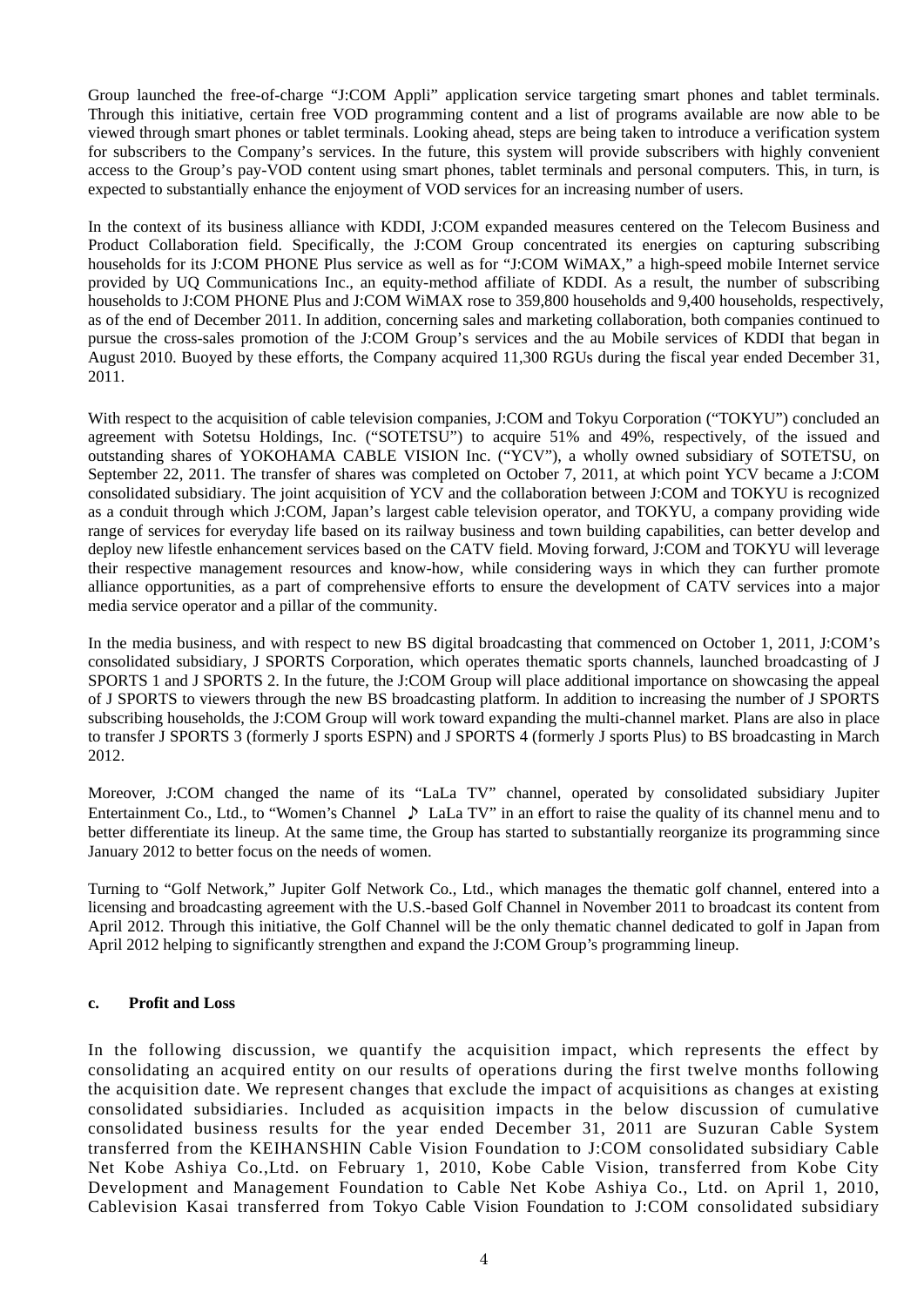Group launched the free-of-charge "J:COM Appli" application service targeting smart phones and tablet terminals. Through this initiative, certain free VOD programming content and a list of programs available are now able to be viewed through smart phones or tablet terminals. Looking ahead, steps are being taken to introduce a verification system for subscribers to the Company's services. In the future, this system will provide subscribers with highly convenient access to the Group's pay-VOD content using smart phones, tablet terminals and personal computers. This, in turn, is expected to substantially enhance the enjoyment of VOD services for an increasing number of users.

In the context of its business alliance with KDDI, J:COM expanded measures centered on the Telecom Business and Product Collaboration field. Specifically, the J:COM Group concentrated its energies on capturing subscribing households for its J:COM PHONE Plus service as well as for "J:COM WiMAX," a high-speed mobile Internet service provided by UQ Communications Inc., an equity-method affiliate of KDDI. As a result, the number of subscribing households to J:COM PHONE Plus and J:COM WiMAX rose to 359,800 households and 9,400 households, respectively, as of the end of December 2011. In addition, concerning sales and marketing collaboration, both companies continued to pursue the cross-sales promotion of the J:COM Group's services and the au Mobile services of KDDI that began in August 2010. Buoyed by these efforts, the Company acquired 11,300 RGUs during the fiscal year ended December 31, 2011.

With respect to the acquisition of cable television companies, J:COM and Tokyu Corporation ("TOKYU") concluded an agreement with Sotetsu Holdings, Inc. ("SOTETSU") to acquire 51% and 49%, respectively, of the issued and outstanding shares of YOKOHAMA CABLE VISION Inc. ("YCV"), a wholly owned subsidiary of SOTETSU, on September 22, 2011. The transfer of shares was completed on October 7, 2011, at which point YCV became a J:COM consolidated subsidiary. The joint acquisition of YCV and the collaboration between J:COM and TOKYU is recognized as a conduit through which J:COM, Japan's largest cable television operator, and TOKYU, a company providing wide range of services for everyday life based on its railway business and town building capabilities, can better develop and deploy new lifestle enhancement services based on the CATV field. Moving forward, J:COM and TOKYU will leverage their respective management resources and know-how, while considering ways in which they can further promote alliance opportunities, as a part of comprehensive efforts to ensure the development of CATV services into a major media service operator and a pillar of the community.

In the media business, and with respect to new BS digital broadcasting that commenced on October 1, 2011, J:COM's consolidated subsidiary, J SPORTS Corporation, which operates thematic sports channels, launched broadcasting of J SPORTS 1 and J SPORTS 2. In the future, the J:COM Group will place additional importance on showcasing the appeal of J SPORTS to viewers through the new BS broadcasting platform. In addition to increasing the number of J SPORTS subscribing households, the J:COM Group will work toward expanding the multi-channel market. Plans are also in place to transfer J SPORTS 3 (formerly J sports ESPN) and J SPORTS 4 (formerly J sports Plus) to BS broadcasting in March 2012.

Moreover, J:COM changed the name of its "LaLa TV" channel, operated by consolidated subsidiary Jupiter Entertainment Co., Ltd., to "Women's Channel ♪ LaLa TV" in an effort to raise the quality of its channel menu and to better differentiate its lineup. At the same time, the Group has started to substantially reorganize its programming since January 2012 to better focus on the needs of women.

Turning to "Golf Network," Jupiter Golf Network Co., Ltd., which manages the thematic golf channel, entered into a licensing and broadcasting agreement with the U.S.-based Golf Channel in November 2011 to broadcast its content from April 2012. Through this initiative, the Golf Channel will be the only thematic channel dedicated to golf in Japan from April 2012 helping to significantly strengthen and expand the J:COM Group's programming lineup.

#### **c. Profit and Loss**

In the following discussion, we quantify the acquisition impact, which represents the effect by consolidating an acquired entity on our results of operations during the first twelve months following the acquisition date. We represent changes that exclude the impact of acquisitions as changes at existing consolidated subsidiaries. Included as acquisition impacts in the below discussion of cumulative consolidated business results for the year ended December 31, 2011 are Suzuran Cable System transferred from the KEIHANSHIN Cable Vision Foundation to J:COM consolidated subsidiary Cable Net Kobe Ashiya Co.,Ltd. on February 1, 2010, Kobe Cable Vision, transferred from Kobe City Development and Management Foundation to Cable Net Kobe Ashiya Co., Ltd. on April 1, 2010, Cablevision Kasai transferred from Tokyo Cable Vision Foundation to J:COM consolidated subsidiary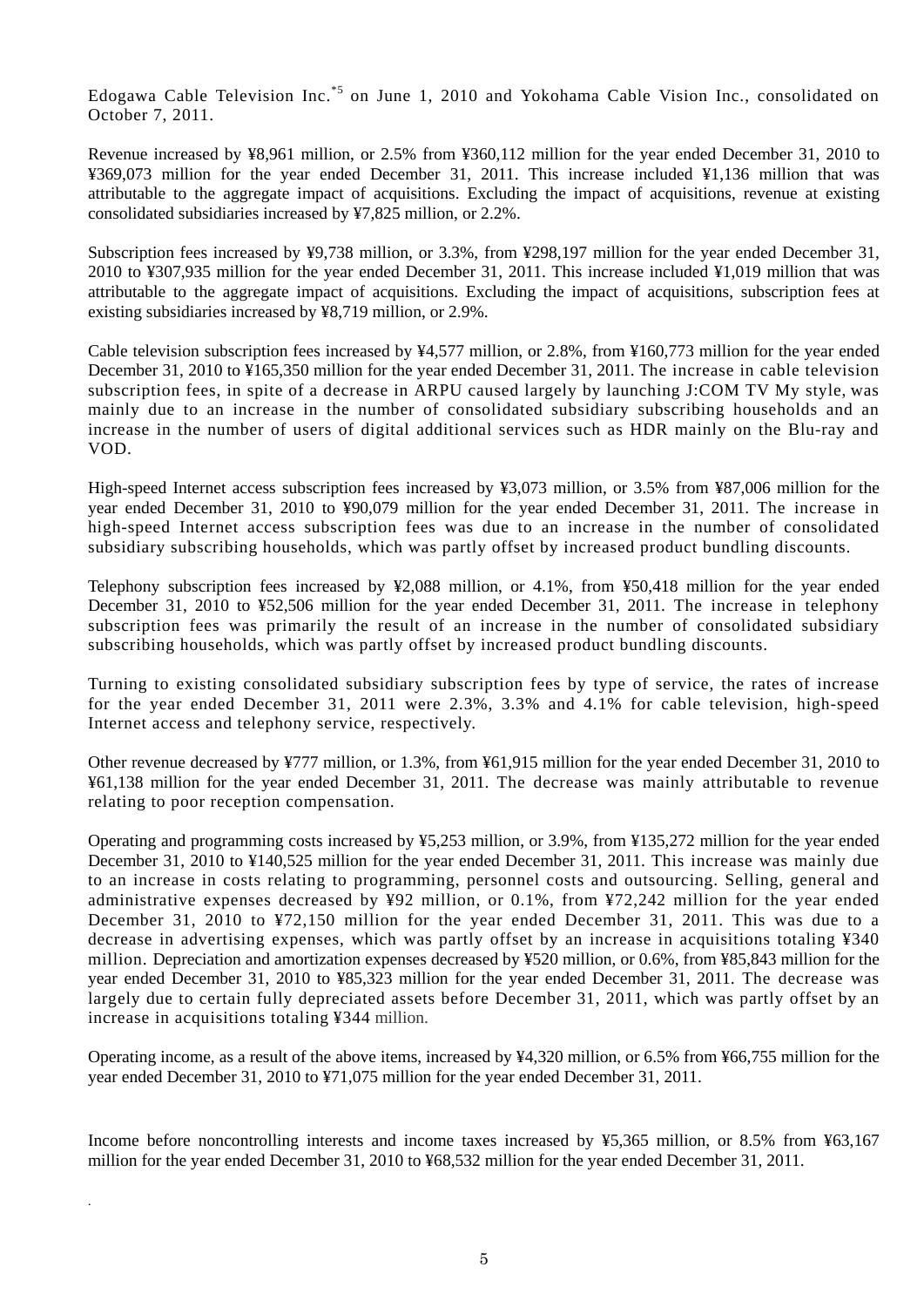Edogawa Cable Television Inc.\*5 on June 1, 2010 and Yokohama Cable Vision Inc., consolidated on October 7, 2011.

Revenue increased by ¥8,961 million, or 2.5% from ¥360,112 million for the year ended December 31, 2010 to ¥369,073 million for the year ended December 31, 2011. This increase included ¥1,136 million that was attributable to the aggregate impact of acquisitions. Excluding the impact of acquisitions, revenue at existing consolidated subsidiaries increased by ¥7,825 million, or 2.2%.

Subscription fees increased by ¥9,738 million, or 3.3%, from ¥298,197 million for the year ended December 31, 2010 to ¥307,935 million for the year ended December 31, 2011. This increase included ¥1,019 million that was attributable to the aggregate impact of acquisitions. Excluding the impact of acquisitions, subscription fees at existing subsidiaries increased by ¥8,719 million, or 2.9%.

Cable television subscription fees increased by ¥4,577 million, or 2.8%, from ¥160,773 million for the year ended December 31, 2010 to ¥165,350 million for the year ended December 31, 2011. The increase in cable television subscription fees, in spite of a decrease in ARPU caused largely by launching J:COM TV My style, was mainly due to an increase in the number of consolidated subsidiary subscribing households and an increase in the number of users of digital additional services such as HDR mainly on the Blu-ray and VOD.

High-speed Internet access subscription fees increased by ¥3,073 million, or 3.5% from ¥87,006 million for the year ended December 31, 2010 to ¥90,079 million for the year ended December 31, 2011. The increase in high-speed Internet access subscription fees was due to an increase in the number of consolidated subsidiary subscribing households, which was partly offset by increased product bundling discounts.

Telephony subscription fees increased by ¥2,088 million, or 4.1%, from ¥50,418 million for the year ended December 31, 2010 to ¥52,506 million for the year ended December 31, 2011. The increase in telephony subscription fees was primarily the result of an increase in the number of consolidated subsidiary subscribing households, which was partly offset by increased product bundling discounts.

Turning to existing consolidated subsidiary subscription fees by type of service, the rates of increase for the year ended December 31, 2011 were 2.3%, 3.3% and 4.1% for cable television, high-speed Internet access and telephony service, respectively.

Other revenue decreased by ¥777 million, or 1.3%, from ¥61,915 million for the year ended December 31, 2010 to ¥61,138 million for the year ended December 31, 2011. The decrease was mainly attributable to revenue relating to poor reception compensation.

Operating and programming costs increased by ¥5,253 million, or 3.9%, from ¥135,272 million for the year ended December 31, 2010 to ¥140,525 million for the year ended December 31, 2011. This increase was mainly due to an increase in costs relating to programming, personnel costs and outsourcing. Selling, general and administrative expenses decreased by ¥92 million, or 0.1%, from ¥72,242 million for the year ended December 31, 2010 to ¥72,150 million for the year ended December 31, 2011. This was due to a decrease in advertising expenses, which was partly offset by an increase in acquisitions totaling ¥340 million. Depreciation and amortization expenses decreased by ¥520 million, or 0.6%, from ¥85,843 million for the year ended December 31, 2010 to ¥85,323 million for the year ended December 31, 2011. The decrease was largely due to certain fully depreciated assets before December 31, 2011, which was partly offset by an increase in acquisitions totaling ¥344 million.

Operating income, as a result of the above items, increased by ¥4,320 million, or 6.5% from ¥66,755 million for the year ended December 31, 2010 to ¥71,075 million for the year ended December 31, 2011.

Income before noncontrolling interests and income taxes increased by ¥5,365 million, or 8.5% from ¥63,167 million for the year ended December 31, 2010 to ¥68,532 million for the year ended December 31, 2011.

.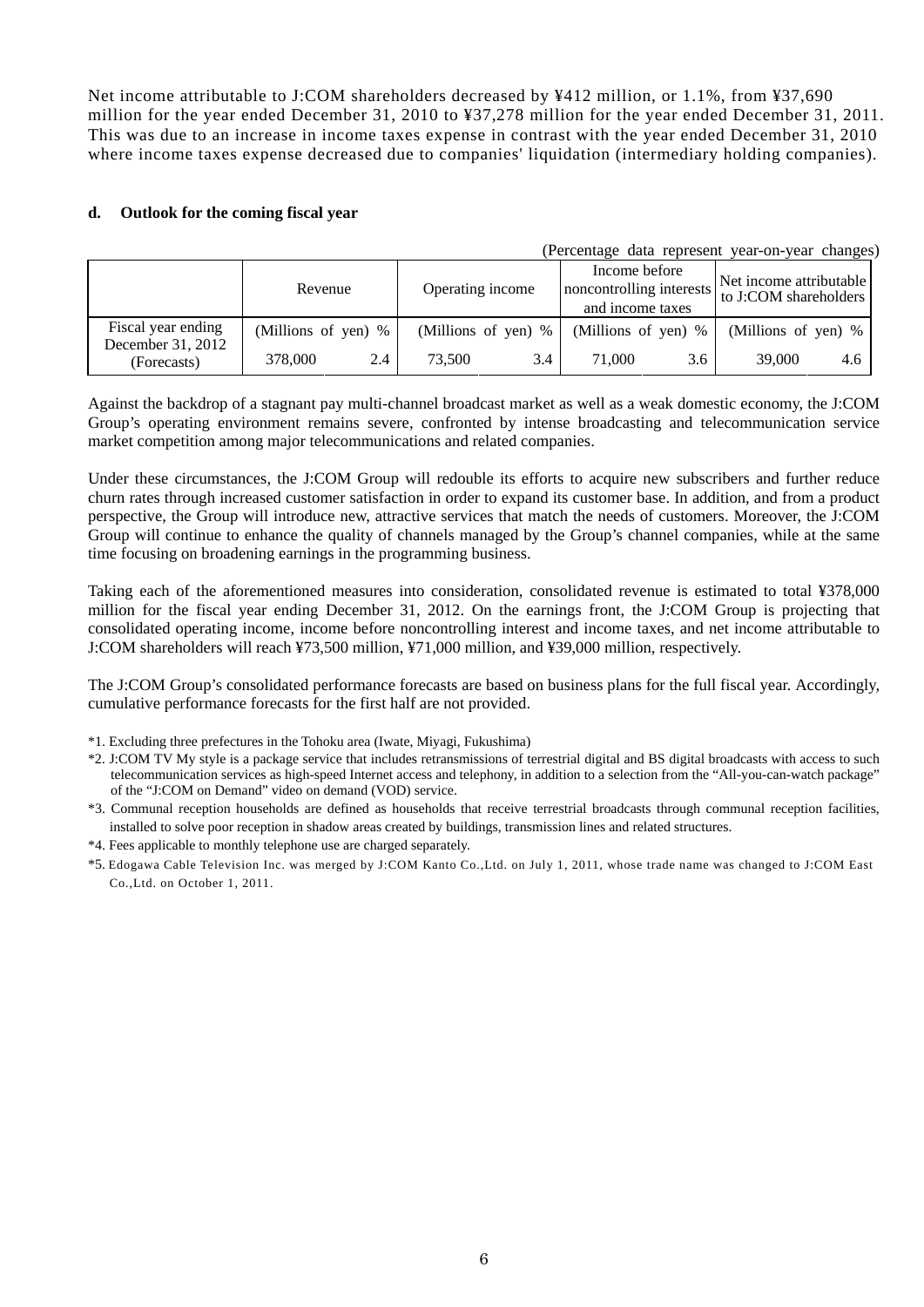Net income attributable to J:COM shareholders decreased by ¥412 million, or 1.1%, from ¥37,690 million for the year ended December 31, 2010 to ¥37,278 million for the year ended December 31, 2011. This was due to an increase in income taxes expense in contrast with the year ended December 31, 2010 where income taxes expense decreased due to companies' liquidation (intermediary holding companies).

#### **d. Outlook for the coming fiscal year**

|                                         |                     |     |                       |     |                                                               |     | (Percentage data represent year-on-year changes) |     |
|-----------------------------------------|---------------------|-----|-----------------------|-----|---------------------------------------------------------------|-----|--------------------------------------------------|-----|
|                                         | Revenue             |     | Operating income      |     | Income before<br>noncontrolling interests<br>and income taxes |     | Net income attributable<br>to J:COM shareholders |     |
| Fiscal year ending<br>December 31, 2012 | (Millions of yen) % |     | (Millions of yen) $%$ |     | (Millions of yen) %                                           |     | (Millions of yen) %                              |     |
| (Forecasts)                             | 378,000             | 2.4 | 73.500                | 3.4 | 71,000                                                        | 3.6 | 39,000                                           | 4.6 |

Against the backdrop of a stagnant pay multi-channel broadcast market as well as a weak domestic economy, the J:COM Group's operating environment remains severe, confronted by intense broadcasting and telecommunication service market competition among major telecommunications and related companies.

Under these circumstances, the J:COM Group will redouble its efforts to acquire new subscribers and further reduce churn rates through increased customer satisfaction in order to expand its customer base. In addition, and from a product perspective, the Group will introduce new, attractive services that match the needs of customers. Moreover, the J:COM Group will continue to enhance the quality of channels managed by the Group's channel companies, while at the same time focusing on broadening earnings in the programming business.

Taking each of the aforementioned measures into consideration, consolidated revenue is estimated to total ¥378,000 million for the fiscal year ending December 31, 2012. On the earnings front, the J:COM Group is projecting that consolidated operating income, income before noncontrolling interest and income taxes, and net income attributable to J:COM shareholders will reach ¥73,500 million, ¥71,000 million, and ¥39,000 million, respectively.

The J:COM Group's consolidated performance forecasts are based on business plans for the full fiscal year. Accordingly, cumulative performance forecasts for the first half are not provided.

- \*1. Excluding three prefectures in the Tohoku area (Iwate, Miyagi, Fukushima)
- \*2. J:COM TV My style is a package service that includes retransmissions of terrestrial digital and BS digital broadcasts with access to such telecommunication services as high-speed Internet access and telephony, in addition to a selection from the "All-you-can-watch package" of the "J:COM on Demand" video on demand (VOD) service.
- \*3. Communal reception households are defined as households that receive terrestrial broadcasts through communal reception facilities, installed to solve poor reception in shadow areas created by buildings, transmission lines and related structures.
- \*4. Fees applicable to monthly telephone use are charged separately.
- \*5. Edogawa Cable Television Inc. was merged by J:COM Kanto Co.,Ltd. on July 1, 2011, whose trade name was changed to J:COM East Co.,Ltd. on October 1, 2011.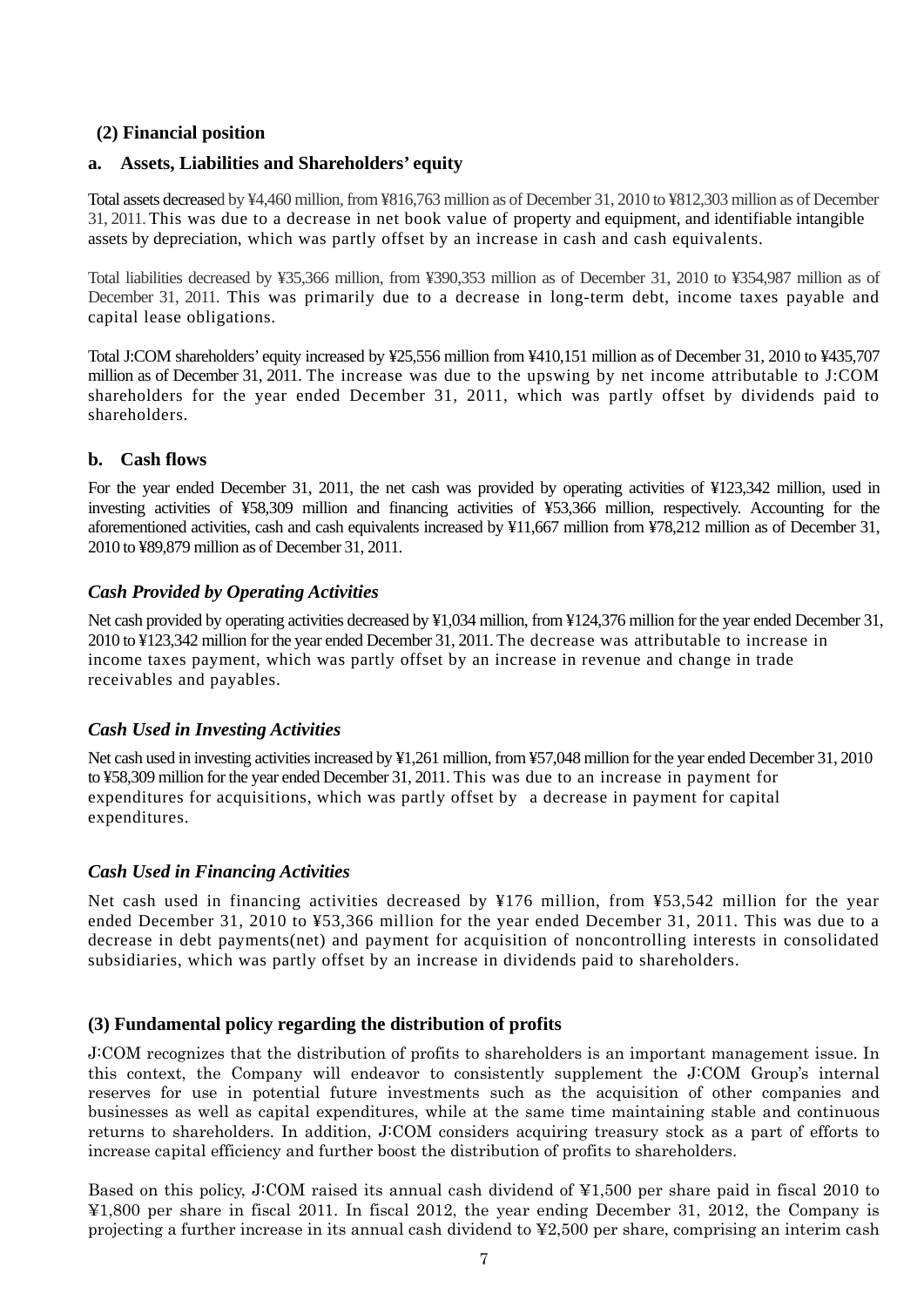### **(2) Financial position**

#### **a. Assets, Liabilities and Shareholders' equity**

Total assets decreased by ¥4,460 million, from ¥816,763 million as of December 31, 2010 to ¥812,303 million as of December 31, 2011. This was due to a decrease in net book value of property and equipment, and identifiable intangible assets by depreciation, which was partly offset by an increase in cash and cash equivalents.

Total liabilities decreased by ¥35,366 million, from ¥390,353 million as of December 31, 2010 to ¥354,987 million as of December 31, 2011. This was primarily due to a decrease in long-term debt, income taxes payable and capital lease obligations.

Total J:COM shareholders' equity increased by ¥25,556 million from ¥410,151 million as of December 31, 2010 to ¥435,707 million as of December 31, 2011. The increase was due to the upswing by net income attributable to J:COM shareholders for the year ended December 31, 2011, which was partly offset by dividends paid to shareholders.

#### **b. Cash flows**

For the year ended December 31, 2011, the net cash was provided by operating activities of ¥123,342 million, used in investing activities of ¥58,309 million and financing activities of ¥53,366 million, respectively. Accounting for the aforementioned activities, cash and cash equivalents increased by ¥11,667 million from ¥78,212 million as of December 31, 2010 to ¥89,879 million as of December 31, 2011.

### *Cash Provided by Operating Activities*

Net cash provided by operating activities decreased by ¥1,034 million, from ¥124,376 million for the year ended December 31, 2010 to ¥123,342 million for the year ended December 31, 2011. The decrease was attributable to increase in income taxes payment, which was partly offset by an increase in revenue and change in trade receivables and payables.

### *Cash Used in Investing Activities*

Net cash used in investing activities increased by ¥1,261 million, from ¥57,048 million for the year ended December 31, 2010 to ¥58,309 million for the year ended December 31, 2011. This was due to an increase in payment for expenditures for acquisitions, which was partly offset by a decrease in payment for capital expenditures.

#### *Cash Used in Financing Activities*

Net cash used in financing activities decreased by ¥176 million, from ¥53,542 million for the year ended December 31, 2010 to ¥53,366 million for the year ended December 31, 2011. This was due to a decrease in debt payments(net) and payment for acquisition of noncontrolling interests in consolidated subsidiaries, which was partly offset by an increase in dividends paid to shareholders.

### **(3) Fundamental policy regarding the distribution of profits**

J:COM recognizes that the distribution of profits to shareholders is an important management issue. In this context, the Company will endeavor to consistently supplement the J:COM Group's internal reserves for use in potential future investments such as the acquisition of other companies and businesses as well as capital expenditures, while at the same time maintaining stable and continuous returns to shareholders. In addition, J:COM considers acquiring treasury stock as a part of efforts to increase capital efficiency and further boost the distribution of profits to shareholders.

Based on this policy, J:COM raised its annual cash dividend of ¥1,500 per share paid in fiscal 2010 to ¥1,800 per share in fiscal 2011. In fiscal 2012, the year ending December 31, 2012, the Company is projecting a further increase in its annual cash dividend to ¥2,500 per share, comprising an interim cash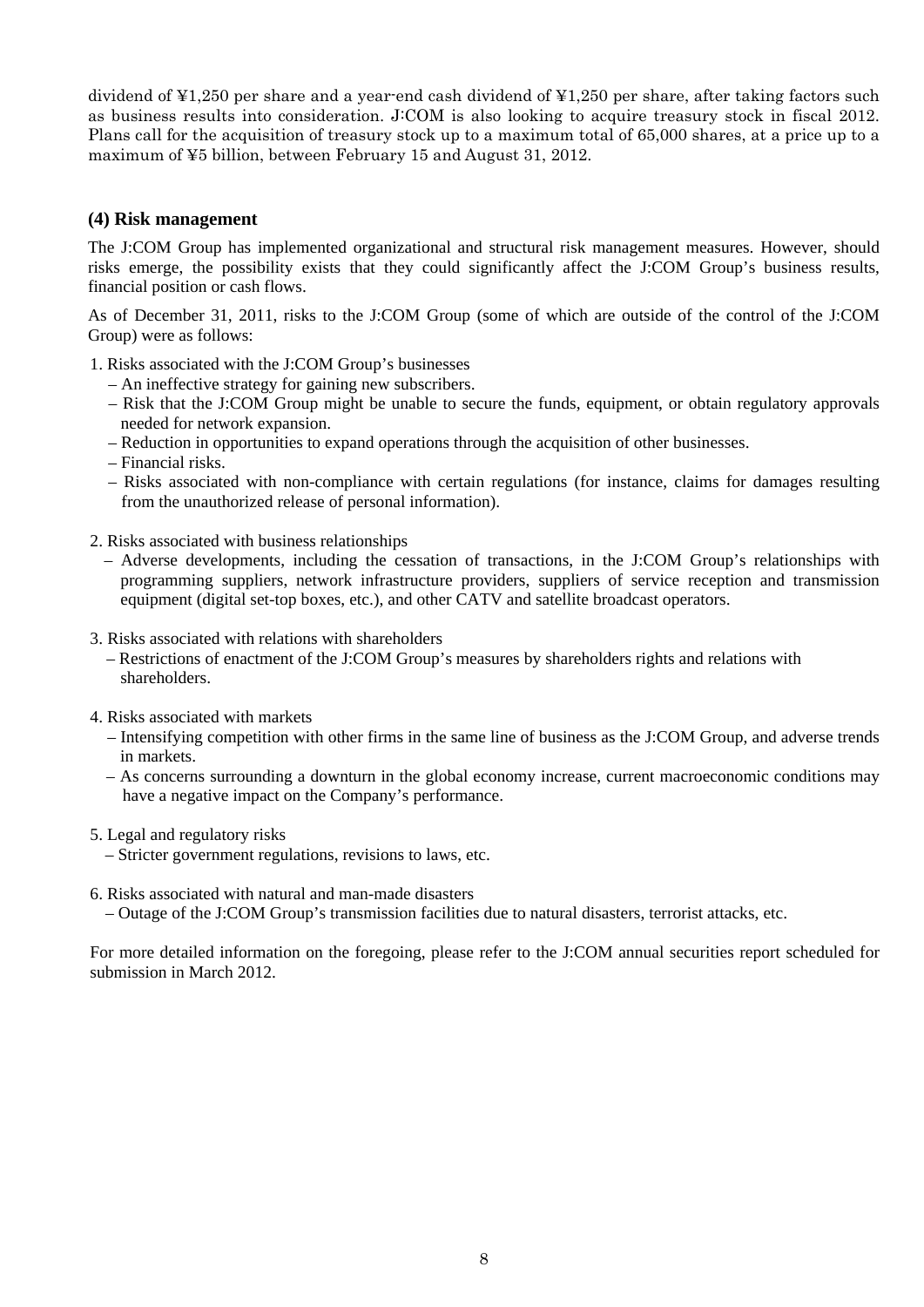dividend of ¥1,250 per share and a year-end cash dividend of ¥1,250 per share, after taking factors such as business results into consideration. J:COM is also looking to acquire treasury stock in fiscal 2012. Plans call for the acquisition of treasury stock up to a maximum total of 65,000 shares, at a price up to a maximum of ¥5 billion, between February 15 and August 31, 2012.

### **(4) Risk management**

The J:COM Group has implemented organizational and structural risk management measures. However, should risks emerge, the possibility exists that they could significantly affect the J:COM Group's business results, financial position or cash flows.

As of December 31, 2011, risks to the J:COM Group (some of which are outside of the control of the J:COM Group) were as follows:

- 1. Risks associated with the J:COM Group's businesses
	- An ineffective strategy for gaining new subscribers.
	- Risk that the J:COM Group might be unable to secure the funds, equipment, or obtain regulatory approvals needed for network expansion.
	- Reduction in opportunities to expand operations through the acquisition of other businesses.
	- Financial risks.
	- Risks associated with non-compliance with certain regulations (for instance, claims for damages resulting from the unauthorized release of personal information).
- 2. Risks associated with business relationships
	- Adverse developments, including the cessation of transactions, in the J:COM Group's relationships with programming suppliers, network infrastructure providers, suppliers of service reception and transmission equipment (digital set-top boxes, etc.), and other CATV and satellite broadcast operators.
- 3. Risks associated with relations with shareholders
	- Restrictions of enactment of the J:COM Group's measures by shareholders rights and relations with shareholders.
- 4. Risks associated with markets
	- Intensifying competition with other firms in the same line of business as the J:COM Group, and adverse trends in markets.
	- As concerns surrounding a downturn in the global economy increase, current macroeconomic conditions may have a negative impact on the Company's performance.
- 5. Legal and regulatory risks
	- Stricter government regulations, revisions to laws, etc.
- 6. Risks associated with natural and man-made disasters
	- Outage of the J:COM Group's transmission facilities due to natural disasters, terrorist attacks, etc.

For more detailed information on the foregoing, please refer to the J:COM annual securities report scheduled for submission in March 2012.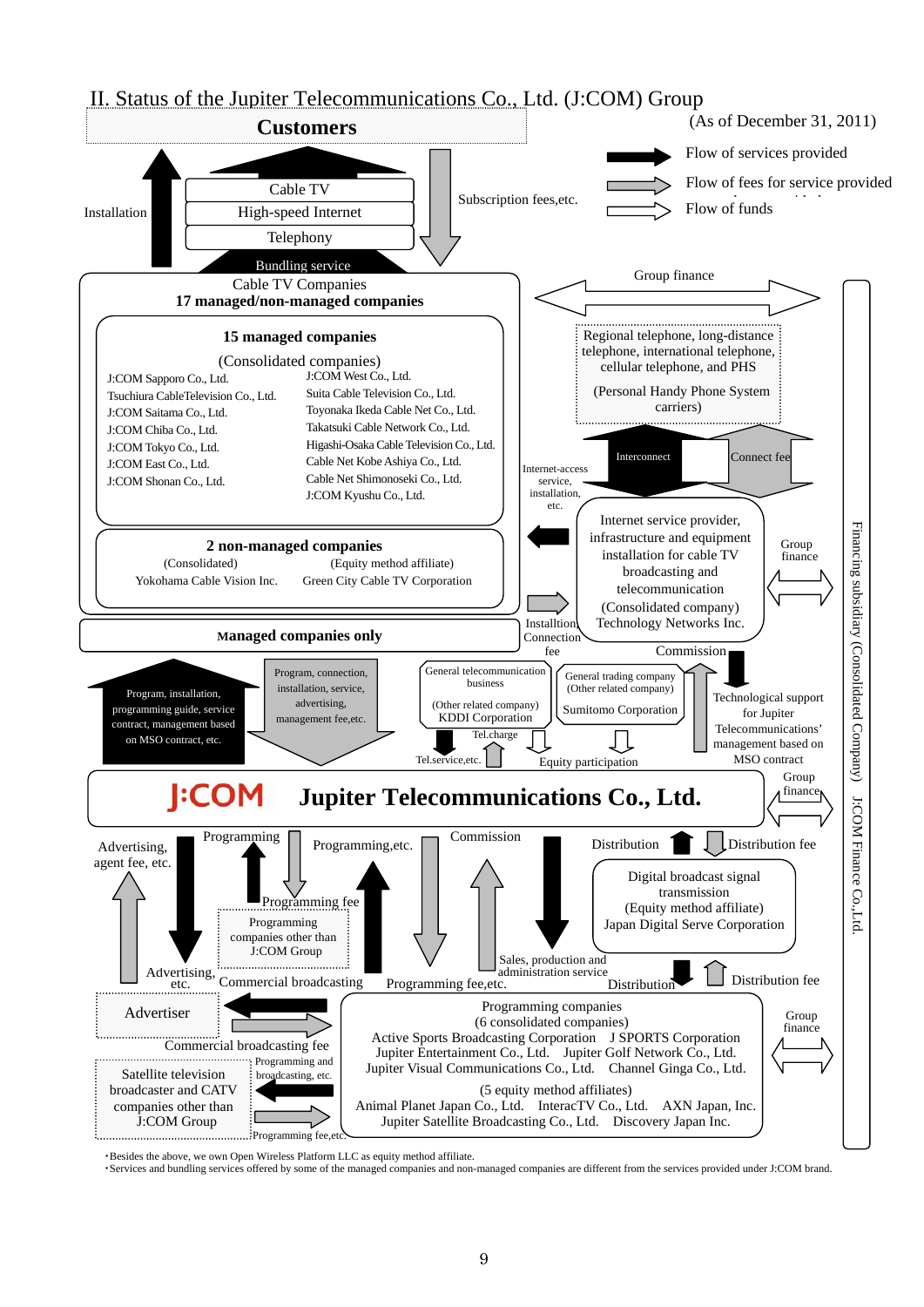

・Besides the above, we own Open Wireless Platform LLC as equity method affiliate.

・Services and bundling services offered by some of the managed companies and non-managed companies are different from the services provided under J:COM brand.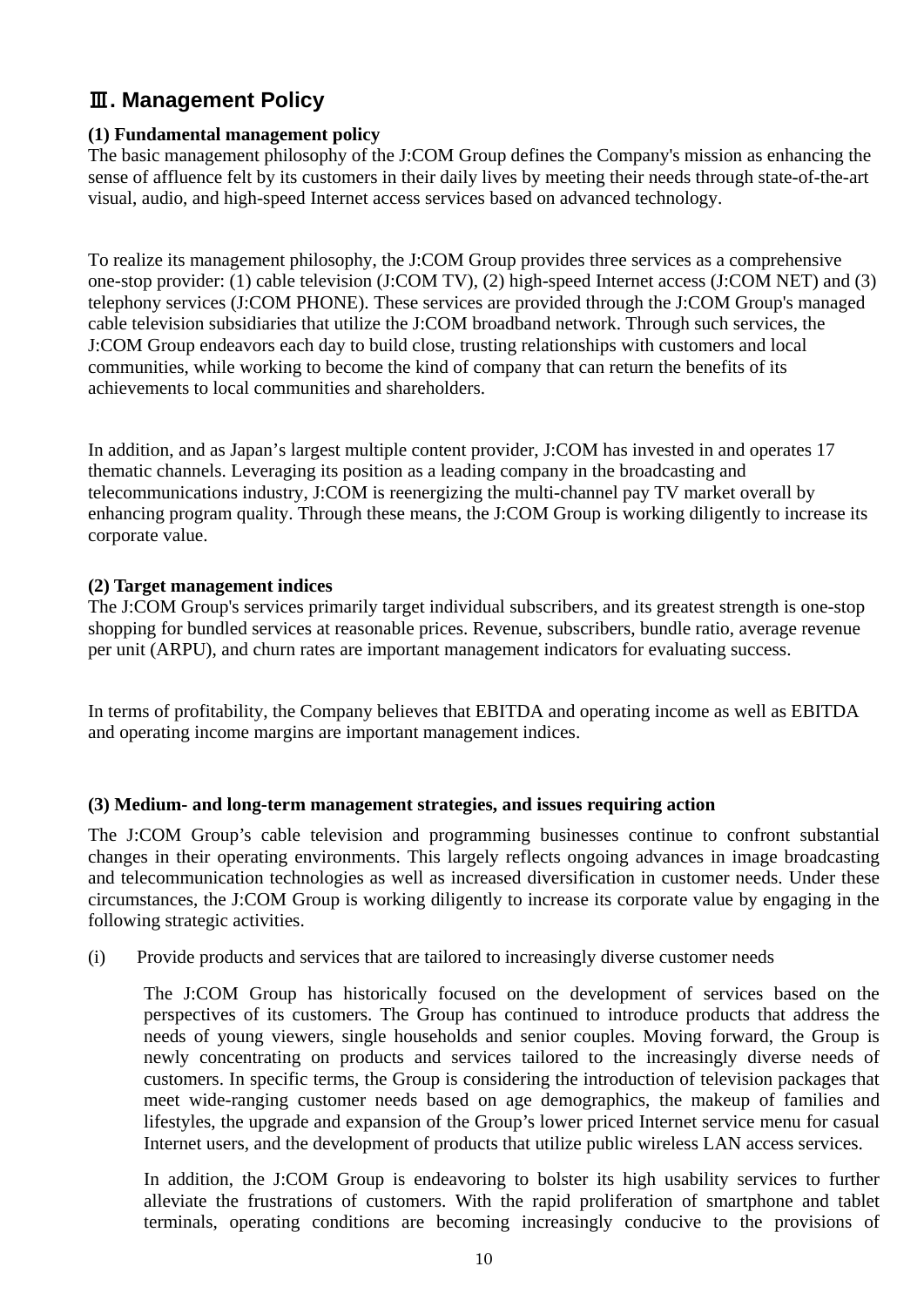# Ⅲ**. Management Policy**

## **(1) Fundamental management policy**

The basic management philosophy of the J:COM Group defines the Company's mission as enhancing the sense of affluence felt by its customers in their daily lives by meeting their needs through state-of-the-art visual, audio, and high-speed Internet access services based on advanced technology.

To realize its management philosophy, the J:COM Group provides three services as a comprehensive one-stop provider: (1) cable television (J:COM TV), (2) high-speed Internet access (J:COM NET) and (3) telephony services (J:COM PHONE). These services are provided through the J:COM Group's managed cable television subsidiaries that utilize the J:COM broadband network. Through such services, the J:COM Group endeavors each day to build close, trusting relationships with customers and local communities, while working to become the kind of company that can return the benefits of its achievements to local communities and shareholders.

In addition, and as Japan's largest multiple content provider, J:COM has invested in and operates 17 thematic channels. Leveraging its position as a leading company in the broadcasting and telecommunications industry, J:COM is reenergizing the multi-channel pay TV market overall by enhancing program quality. Through these means, the J:COM Group is working diligently to increase its corporate value.

### **(2) Target management indices**

The J:COM Group's services primarily target individual subscribers, and its greatest strength is one-stop shopping for bundled services at reasonable prices. Revenue, subscribers, bundle ratio, average revenue per unit (ARPU), and churn rates are important management indicators for evaluating success.

In terms of profitability, the Company believes that EBITDA and operating income as well as EBITDA and operating income margins are important management indices.

## **(3) Medium- and long-term management strategies, and issues requiring action**

The J:COM Group's cable television and programming businesses continue to confront substantial changes in their operating environments. This largely reflects ongoing advances in image broadcasting and telecommunication technologies as well as increased diversification in customer needs. Under these circumstances, the J:COM Group is working diligently to increase its corporate value by engaging in the following strategic activities.

(i) Provide products and services that are tailored to increasingly diverse customer needs

The J:COM Group has historically focused on the development of services based on the perspectives of its customers. The Group has continued to introduce products that address the needs of young viewers, single households and senior couples. Moving forward, the Group is newly concentrating on products and services tailored to the increasingly diverse needs of customers. In specific terms, the Group is considering the introduction of television packages that meet wide-ranging customer needs based on age demographics, the makeup of families and lifestyles, the upgrade and expansion of the Group's lower priced Internet service menu for casual Internet users, and the development of products that utilize public wireless LAN access services.

In addition, the J:COM Group is endeavoring to bolster its high usability services to further alleviate the frustrations of customers. With the rapid proliferation of smartphone and tablet terminals, operating conditions are becoming increasingly conducive to the provisions of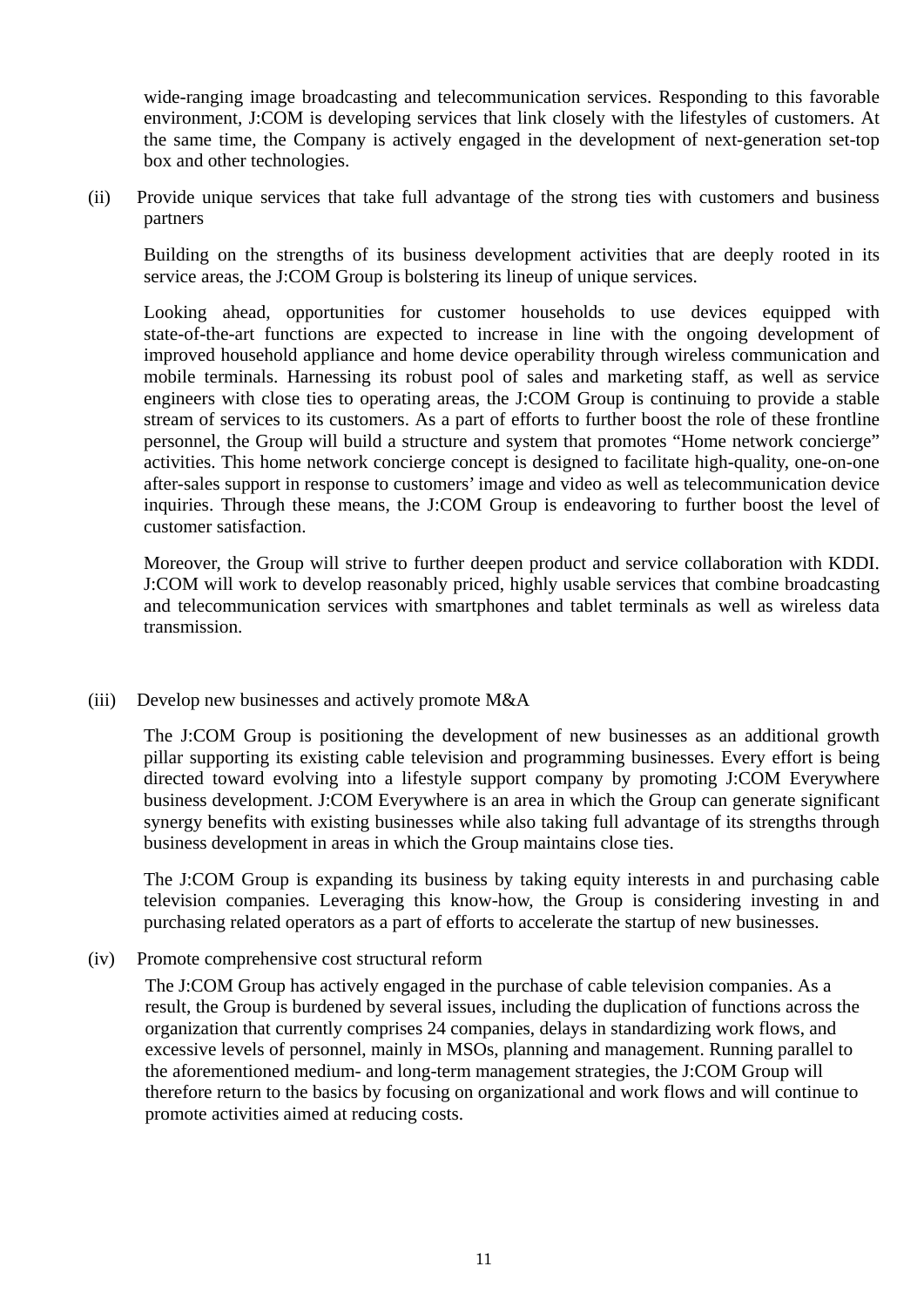wide-ranging image broadcasting and telecommunication services. Responding to this favorable environment, J:COM is developing services that link closely with the lifestyles of customers. At the same time, the Company is actively engaged in the development of next-generation set-top box and other technologies.

(ii) Provide unique services that take full advantage of the strong ties with customers and business partners

Building on the strengths of its business development activities that are deeply rooted in its service areas, the J:COM Group is bolstering its lineup of unique services.

Looking ahead, opportunities for customer households to use devices equipped with state-of-the-art functions are expected to increase in line with the ongoing development of improved household appliance and home device operability through wireless communication and mobile terminals. Harnessing its robust pool of sales and marketing staff, as well as service engineers with close ties to operating areas, the J:COM Group is continuing to provide a stable stream of services to its customers. As a part of efforts to further boost the role of these frontline personnel, the Group will build a structure and system that promotes "Home network concierge" activities. This home network concierge concept is designed to facilitate high-quality, one-on-one after-sales support in response to customers' image and video as well as telecommunication device inquiries. Through these means, the J:COM Group is endeavoring to further boost the level of customer satisfaction.

Moreover, the Group will strive to further deepen product and service collaboration with KDDI. J:COM will work to develop reasonably priced, highly usable services that combine broadcasting and telecommunication services with smartphones and tablet terminals as well as wireless data transmission.

### (iii) Develop new businesses and actively promote M&A

The J:COM Group is positioning the development of new businesses as an additional growth pillar supporting its existing cable television and programming businesses. Every effort is being directed toward evolving into a lifestyle support company by promoting J:COM Everywhere business development. J:COM Everywhere is an area in which the Group can generate significant synergy benefits with existing businesses while also taking full advantage of its strengths through business development in areas in which the Group maintains close ties.

The J:COM Group is expanding its business by taking equity interests in and purchasing cable television companies. Leveraging this know-how, the Group is considering investing in and purchasing related operators as a part of efforts to accelerate the startup of new businesses.

### (iv) Promote comprehensive cost structural reform

The J:COM Group has actively engaged in the purchase of cable television companies. As a result, the Group is burdened by several issues, including the duplication of functions across the organization that currently comprises 24 companies, delays in standardizing work flows, and excessive levels of personnel, mainly in MSOs, planning and management. Running parallel to the aforementioned medium- and long-term management strategies, the J:COM Group will therefore return to the basics by focusing on organizational and work flows and will continue to promote activities aimed at reducing costs.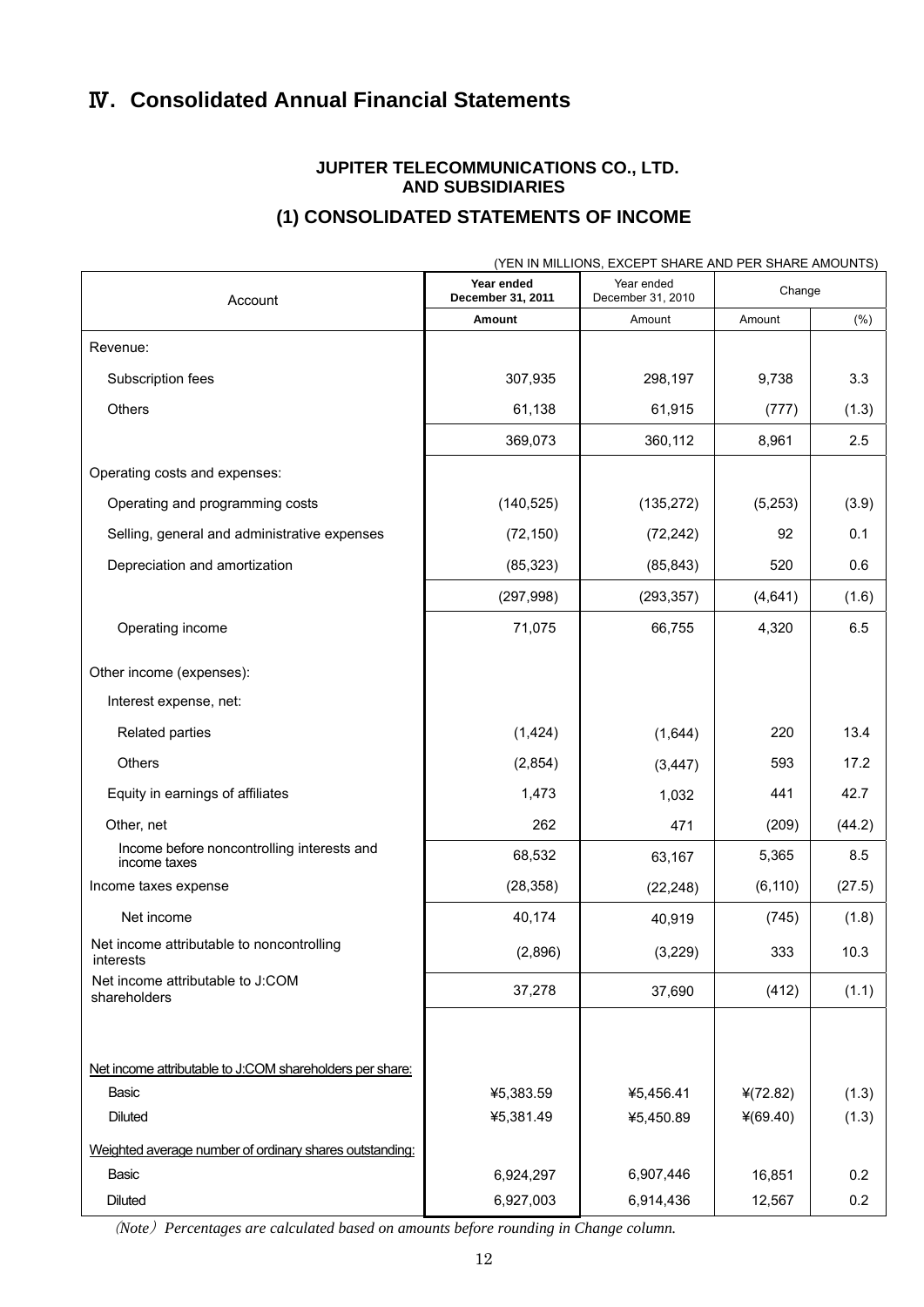# Ⅳ**. Consolidated Annual Financial Statements**

## **JUPITER TELECOMMUNICATIONS CO., LTD. AND SUBSIDIARIES**

## **(1) CONSOLIDATED STATEMENTS OF INCOME**

|                                                            |                                 | (YEN IN MILLIONS, EXCEPT SHARE AND PER SHARE AMOUNTS) |            |        |
|------------------------------------------------------------|---------------------------------|-------------------------------------------------------|------------|--------|
| Account                                                    | Year ended<br>December 31, 2011 | Year ended<br>December 31, 2010                       | Change     |        |
|                                                            | Amount                          | Amount                                                | Amount     | (%)    |
| Revenue:                                                   |                                 |                                                       |            |        |
| Subscription fees                                          | 307,935                         | 298,197                                               | 9,738      | 3.3    |
| Others                                                     | 61,138                          | 61,915                                                | (777)      | (1.3)  |
|                                                            | 369,073                         | 360,112                                               | 8,961      | 2.5    |
| Operating costs and expenses:                              |                                 |                                                       |            |        |
| Operating and programming costs                            | (140, 525)                      | (135, 272)                                            | (5,253)    | (3.9)  |
| Selling, general and administrative expenses               | (72, 150)                       | (72, 242)                                             | 92         | 0.1    |
| Depreciation and amortization                              | (85, 323)                       | (85, 843)                                             | 520        | 0.6    |
|                                                            | (297, 998)                      | (293, 357)                                            | (4,641)    | (1.6)  |
| Operating income                                           | 71,075                          | 66,755                                                | 4,320      | 6.5    |
| Other income (expenses):                                   |                                 |                                                       |            |        |
| Interest expense, net:                                     |                                 |                                                       |            |        |
| Related parties                                            | (1,424)                         | (1,644)                                               | 220        | 13.4   |
| Others                                                     | (2,854)                         | (3, 447)                                              | 593        | 17.2   |
| Equity in earnings of affiliates                           | 1,473                           | 1,032                                                 | 441        | 42.7   |
| Other, net                                                 | 262                             | 471                                                   | (209)      | (44.2) |
| Income before noncontrolling interests and<br>income taxes | 68,532                          | 63,167                                                | 5,365      | 8.5    |
| Income taxes expense                                       | (28, 358)                       | (22, 248)                                             | (6, 110)   | (27.5) |
| Net income                                                 | 40,174                          | 40,919                                                | (745)      | (1.8)  |
| Net income attributable to noncontrolling<br>interests     | (2,896)                         | (3,229)                                               | 333        | 10.3   |
| Net income attributable to J:COM<br>shareholders           | 37,278                          | 37,690                                                | (412)      | (1.1)  |
|                                                            |                                 |                                                       |            |        |
| Net income attributable to J:COM shareholders per share:   |                                 |                                                       |            |        |
| Basic                                                      | ¥5,383.59                       | ¥5,456.41                                             | 4(72.82)   | (1.3)  |
| <b>Diluted</b>                                             | ¥5,381.49                       | ¥5,450.89                                             | $*(69.40)$ | (1.3)  |
| Weighted average number of ordinary shares outstanding:    |                                 |                                                       |            |        |
| Basic                                                      | 6,924,297                       | 6,907,446                                             | 16,851     | 0.2    |
| <b>Diluted</b>                                             | 6,927,003                       | 6,914,436                                             | 12,567     | 0.2    |

(*Note*)*Percentages are calculated based on amounts before rounding in Change column.*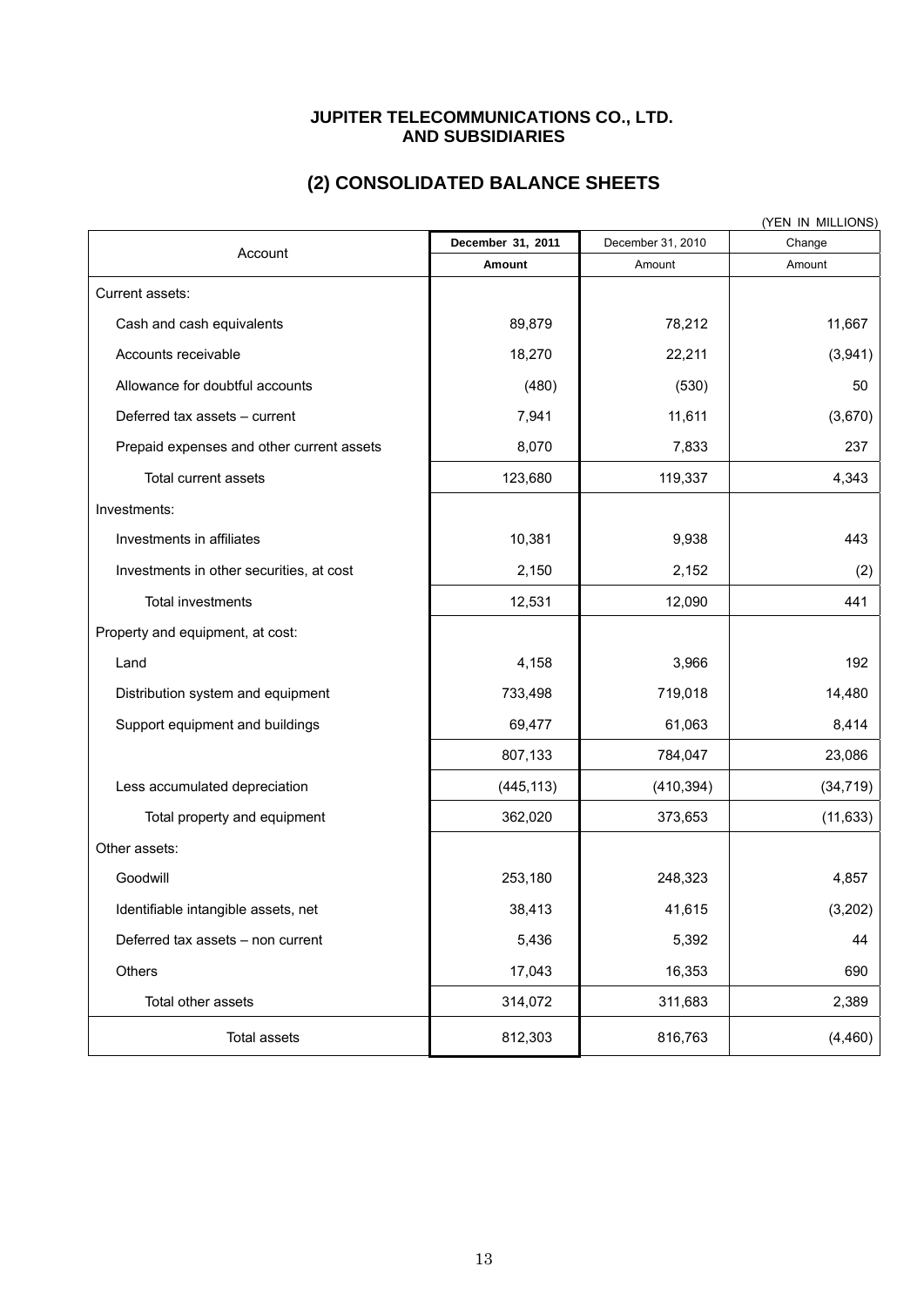#### **JUPITER TELECOMMUNICATIONS CO., LTD. AND SUBSIDIARIES**

|                                           |                   |                   | (YEN IN MILLIONS) |
|-------------------------------------------|-------------------|-------------------|-------------------|
| Account                                   | December 31, 2011 | December 31, 2010 | Change            |
|                                           | Amount            | Amount            | Amount            |
| Current assets:                           |                   |                   |                   |
| Cash and cash equivalents                 | 89,879            | 78,212            | 11,667            |
| Accounts receivable                       | 18,270            | 22,211            | (3,941)           |
| Allowance for doubtful accounts           | (480)             | (530)             | 50                |
| Deferred tax assets - current             | 7,941             | 11,611            | (3,670)           |
| Prepaid expenses and other current assets | 8,070             | 7,833             | 237               |
| Total current assets                      | 123,680           | 119,337           | 4,343             |
| Investments:                              |                   |                   |                   |
| Investments in affiliates                 | 10,381            | 9,938             | 443               |
| Investments in other securities, at cost  | 2,150             | 2,152             | (2)               |
| Total investments                         | 12,531            | 12,090            | 441               |
| Property and equipment, at cost:          |                   |                   |                   |
| Land                                      | 4,158             | 3,966             | 192               |
| Distribution system and equipment         | 733,498           | 719,018           | 14,480            |
| Support equipment and buildings           | 69,477            | 61,063            | 8,414             |
|                                           | 807,133           | 784,047           | 23,086            |
| Less accumulated depreciation             | (445, 113)        | (410, 394)        | (34, 719)         |
| Total property and equipment              | 362,020           | 373,653           | (11, 633)         |
| Other assets:                             |                   |                   |                   |
| Goodwill                                  | 253,180           | 248,323           | 4,857             |
| Identifiable intangible assets, net       | 38,413            | 41,615            | (3,202)           |
| Deferred tax assets - non current         | 5,436             | 5,392             | 44                |
| Others                                    | 17,043            | 16,353            | 690               |
| Total other assets                        | 314,072           | 311,683           | 2,389             |
| <b>Total assets</b>                       | 812,303           | 816,763           | (4, 460)          |

# **(2) CONSOLIDATED BALANCE SHEETS**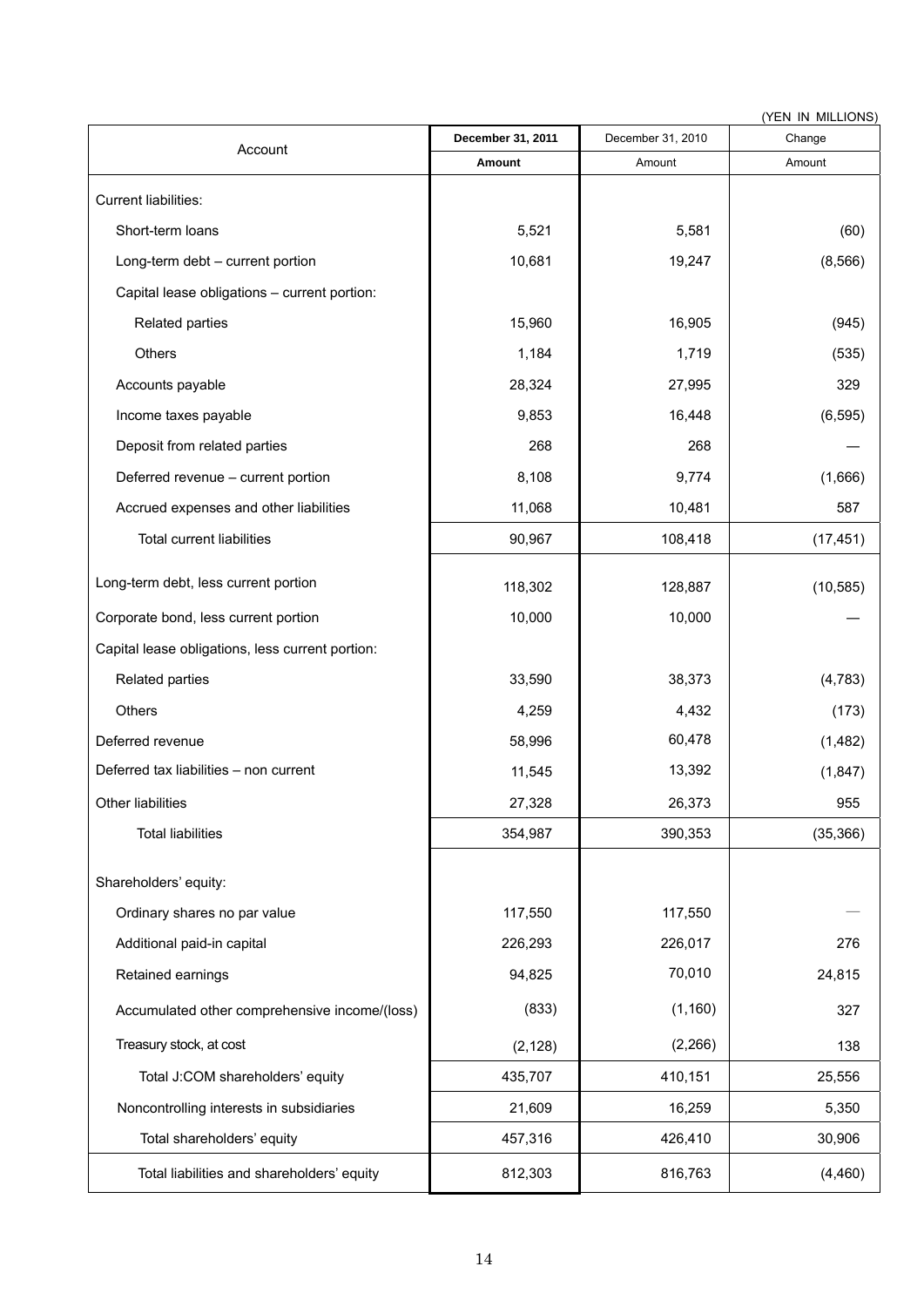(YEN IN MILLIONS)

| Account                                          | December 31, 2011 | December 31, 2010 | Change    |
|--------------------------------------------------|-------------------|-------------------|-----------|
|                                                  | Amount            | Amount            | Amount    |
| Current liabilities:                             |                   |                   |           |
| Short-term loans                                 | 5,521             | 5,581             | (60)      |
| Long-term debt - current portion                 | 10,681            | 19,247            | (8, 566)  |
| Capital lease obligations - current portion:     |                   |                   |           |
| Related parties                                  | 15,960            | 16,905            | (945)     |
| Others                                           | 1,184             | 1,719             | (535)     |
| Accounts payable                                 | 28,324            | 27,995            | 329       |
| Income taxes payable                             | 9,853             | 16,448            | (6, 595)  |
| Deposit from related parties                     | 268               | 268               |           |
| Deferred revenue - current portion               | 8,108             | 9,774             | (1,666)   |
| Accrued expenses and other liabilities           | 11,068            | 10,481            | 587       |
| <b>Total current liabilities</b>                 | 90,967            | 108,418           | (17, 451) |
| Long-term debt, less current portion             | 118,302           | 128,887           | (10, 585) |
| Corporate bond, less current portion             | 10,000            | 10,000            |           |
| Capital lease obligations, less current portion: |                   |                   |           |
| Related parties                                  | 33,590            | 38,373            | (4, 783)  |
| Others                                           | 4,259             | 4,432             | (173)     |
| Deferred revenue                                 | 58,996            | 60,478            | (1, 482)  |
| Deferred tax liabilities - non current           | 11,545            | 13,392            | (1, 847)  |
| Other liabilities                                | 27,328            | 26,373            | 955       |
| <b>Total liabilities</b>                         | 354,987           | 390,353           | (35, 366) |
| Shareholders' equity:                            |                   |                   |           |
| Ordinary shares no par value                     | 117,550           | 117,550           |           |
| Additional paid-in capital                       | 226,293           | 226,017           | 276       |
| Retained earnings                                | 94,825            | 70,010            | 24,815    |
| Accumulated other comprehensive income/(loss)    | (833)             | (1, 160)          | 327       |
| Treasury stock, at cost                          | (2, 128)          | (2, 266)          | 138       |
| Total J:COM shareholders' equity                 | 435,707           | 410,151           | 25,556    |
| Noncontrolling interests in subsidiaries         | 21,609            | 16,259            | 5,350     |
| Total shareholders' equity                       | 457,316           | 426,410           | 30,906    |
| Total liabilities and shareholders' equity       | 812,303           | 816,763           | (4, 460)  |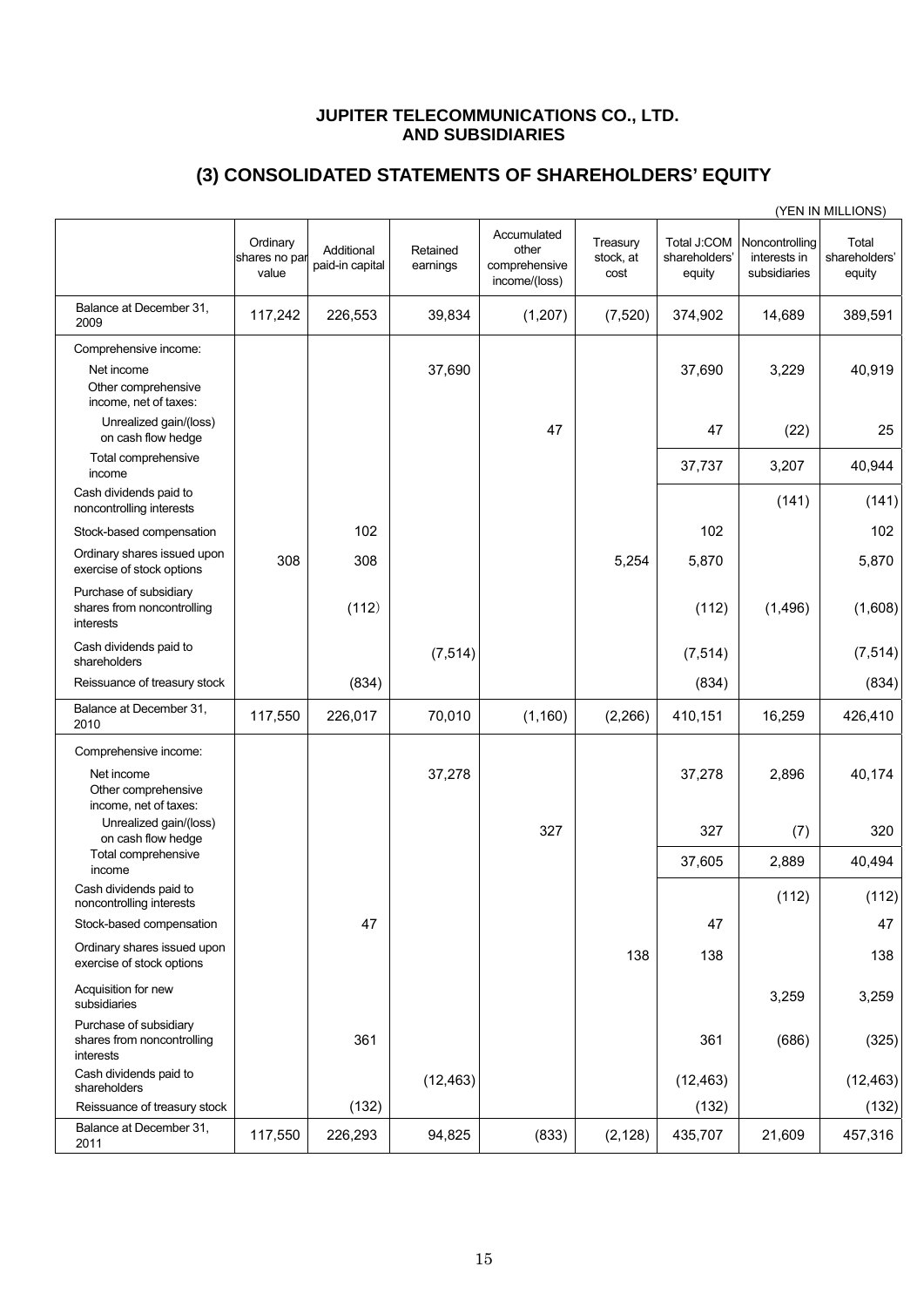#### **JUPITER TELECOMMUNICATIONS CO., LTD. AND SUBSIDIARIES**

# **(3) CONSOLIDATED STATEMENTS OF SHAREHOLDERS' EQUITY**

|                                                                   |                                    |                               |                      |                                                        |                               |                                        |                                                | (YEN IN MILLIONS)                |
|-------------------------------------------------------------------|------------------------------------|-------------------------------|----------------------|--------------------------------------------------------|-------------------------------|----------------------------------------|------------------------------------------------|----------------------------------|
|                                                                   | Ordinary<br>shares no par<br>value | Additional<br>paid-in capital | Retained<br>earnings | Accumulated<br>other<br>comprehensive<br>income/(loss) | Treasury<br>stock, at<br>cost | Total J:COM<br>shareholders'<br>equity | Noncontrolling<br>interests in<br>subsidiaries | Total<br>shareholders'<br>equity |
| Balance at December 31,<br>2009                                   | 117,242                            | 226,553                       | 39,834               | (1,207)                                                | (7, 520)                      | 374,902                                | 14,689                                         | 389,591                          |
| Comprehensive income:                                             |                                    |                               |                      |                                                        |                               |                                        |                                                |                                  |
| Net income<br>Other comprehensive<br>income, net of taxes:        |                                    |                               | 37,690               |                                                        |                               | 37,690                                 | 3,229                                          | 40,919                           |
| Unrealized gain/(loss)<br>on cash flow hedge                      |                                    |                               |                      | 47                                                     |                               | 47                                     | (22)                                           | 25                               |
| Total comprehensive<br>income                                     |                                    |                               |                      |                                                        |                               | 37,737                                 | 3,207                                          | 40,944                           |
| Cash dividends paid to<br>noncontrolling interests                |                                    |                               |                      |                                                        |                               |                                        | (141)                                          | (141)                            |
| Stock-based compensation                                          |                                    | 102                           |                      |                                                        |                               | 102                                    |                                                | 102                              |
| Ordinary shares issued upon<br>exercise of stock options          | 308                                | 308                           |                      |                                                        | 5,254                         | 5,870                                  |                                                | 5,870                            |
| Purchase of subsidiary<br>shares from noncontrolling<br>interests |                                    | (112)                         |                      |                                                        |                               | (112)                                  | (1, 496)                                       | (1,608)                          |
| Cash dividends paid to<br>shareholders                            |                                    |                               | (7, 514)             |                                                        |                               | (7, 514)                               |                                                | (7, 514)                         |
| Reissuance of treasury stock                                      |                                    | (834)                         |                      |                                                        |                               | (834)                                  |                                                | (834)                            |
| Balance at December 31,<br>2010                                   | 117,550                            | 226,017                       | 70,010               | (1, 160)                                               | (2, 266)                      | 410,151                                | 16,259                                         | 426,410                          |
| Comprehensive income:                                             |                                    |                               |                      |                                                        |                               |                                        |                                                |                                  |
| Net income<br>Other comprehensive<br>income, net of taxes:        |                                    |                               | 37,278               |                                                        |                               | 37,278                                 | 2,896                                          | 40,174                           |
| Unrealized gain/(loss)<br>on cash flow hedge                      |                                    |                               |                      | 327                                                    |                               | 327                                    | (7)                                            | 320                              |
| Total comprehensive<br>income                                     |                                    |                               |                      |                                                        |                               | 37,605                                 | 2,889                                          | 40,494                           |
| Cash dividends paid to<br>noncontrolling interests                |                                    |                               |                      |                                                        |                               |                                        | (112)                                          | (112)                            |
| Stock-based compensation                                          |                                    | 47                            |                      |                                                        |                               | 47                                     |                                                | 47                               |
| Ordinary shares issued upon<br>exercise of stock options          |                                    |                               |                      |                                                        | 138                           | 138                                    |                                                | 138                              |
| Acquisition for new<br>subsidiaries                               |                                    |                               |                      |                                                        |                               |                                        | 3,259                                          | 3,259                            |
| Purchase of subsidiary<br>shares from noncontrolling<br>interests |                                    | 361                           |                      |                                                        |                               | 361                                    | (686)                                          | (325)                            |
| Cash dividends paid to<br>shareholders                            |                                    |                               | (12, 463)            |                                                        |                               | (12, 463)                              |                                                | (12, 463)                        |
| Reissuance of treasury stock                                      |                                    | (132)                         |                      |                                                        |                               | (132)                                  |                                                | (132)                            |
| Balance at December 31,<br>2011                                   | 117,550                            | 226,293                       | 94,825               | (833)                                                  | (2, 128)                      | 435,707                                | 21,609                                         | 457,316                          |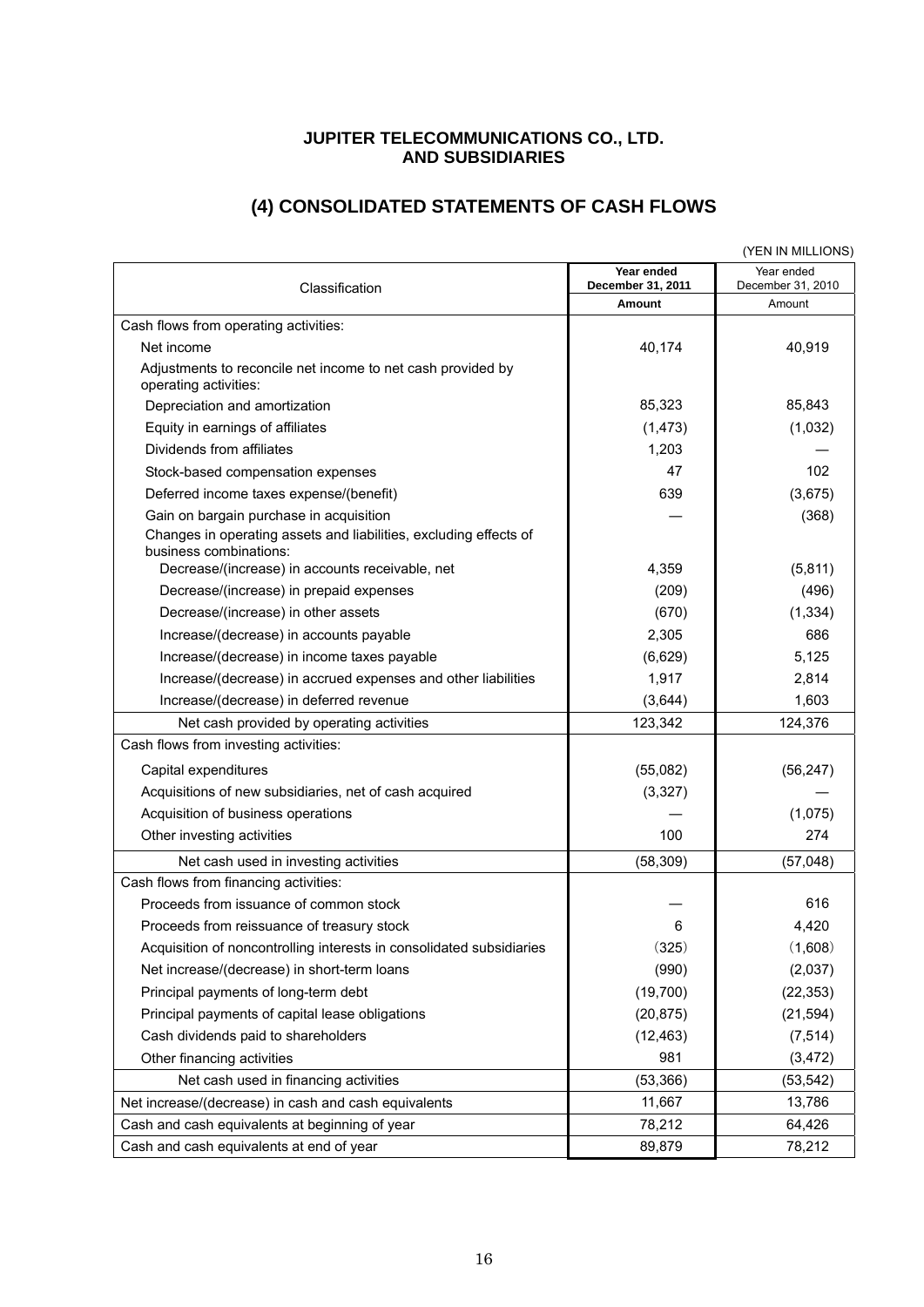#### **JUPITER TELECOMMUNICATIONS CO., LTD. AND SUBSIDIARIES**

# **(4) CONSOLIDATED STATEMENTS OF CASH FLOWS**

|                                                                                             |                                 | (YEN IN MILLIONS)               |
|---------------------------------------------------------------------------------------------|---------------------------------|---------------------------------|
| Classification                                                                              | Year ended<br>December 31, 2011 | Year ended<br>December 31, 2010 |
|                                                                                             | Amount                          | Amount                          |
| Cash flows from operating activities:                                                       |                                 |                                 |
| Net income                                                                                  | 40,174                          | 40,919                          |
| Adjustments to reconcile net income to net cash provided by<br>operating activities:        |                                 |                                 |
| Depreciation and amortization                                                               | 85,323                          | 85,843                          |
| Equity in earnings of affiliates                                                            | (1, 473)                        | (1,032)                         |
| Dividends from affiliates                                                                   | 1,203                           |                                 |
| Stock-based compensation expenses                                                           | 47                              | 102                             |
| Deferred income taxes expense/(benefit)                                                     | 639                             | (3,675)                         |
| Gain on bargain purchase in acquisition                                                     |                                 | (368)                           |
| Changes in operating assets and liabilities, excluding effects of<br>business combinations: |                                 |                                 |
| Decrease/(increase) in accounts receivable, net                                             | 4,359                           | (5,811)                         |
| Decrease/(increase) in prepaid expenses                                                     | (209)                           | (496)                           |
| Decrease/(increase) in other assets                                                         | (670)                           | (1, 334)                        |
| Increase/(decrease) in accounts payable                                                     | 2,305                           | 686                             |
| Increase/(decrease) in income taxes payable                                                 | (6,629)                         | 5,125                           |
| Increase/(decrease) in accrued expenses and other liabilities                               | 1,917                           | 2,814                           |
| Increase/(decrease) in deferred revenue                                                     | (3,644)                         | 1,603                           |
| Net cash provided by operating activities                                                   | 123,342                         | 124,376                         |
| Cash flows from investing activities:                                                       |                                 |                                 |
| Capital expenditures                                                                        | (55,082)                        | (56, 247)                       |
| Acquisitions of new subsidiaries, net of cash acquired                                      | (3,327)                         |                                 |
| Acquisition of business operations                                                          |                                 | (1,075)                         |
| Other investing activities                                                                  | 100                             | 274                             |
| Net cash used in investing activities                                                       | (58, 309)                       | (57,048)                        |
| Cash flows from financing activities:                                                       |                                 |                                 |
| Proceeds from issuance of common stock                                                      |                                 | 616                             |
| Proceeds from reissuance of treasury stock                                                  | 6                               | 4,420                           |
| Acquisition of noncontrolling interests in consolidated subsidiaries                        | (325)                           | (1,608)                         |
| Net increase/(decrease) in short-term loans                                                 | (990)                           | (2,037)                         |
| Principal payments of long-term debt                                                        | (19, 700)                       | (22, 353)                       |
| Principal payments of capital lease obligations                                             | (20, 875)                       | (21, 594)                       |
| Cash dividends paid to shareholders                                                         | (12, 463)                       | (7, 514)                        |
| Other financing activities                                                                  | 981                             | (3, 472)                        |
| Net cash used in financing activities                                                       | (53, 366)                       | (53, 542)                       |
| Net increase/(decrease) in cash and cash equivalents                                        | 11,667                          | 13,786                          |
| Cash and cash equivalents at beginning of year                                              | 78,212                          | 64,426                          |
| Cash and cash equivalents at end of year                                                    | 89,879                          | 78,212                          |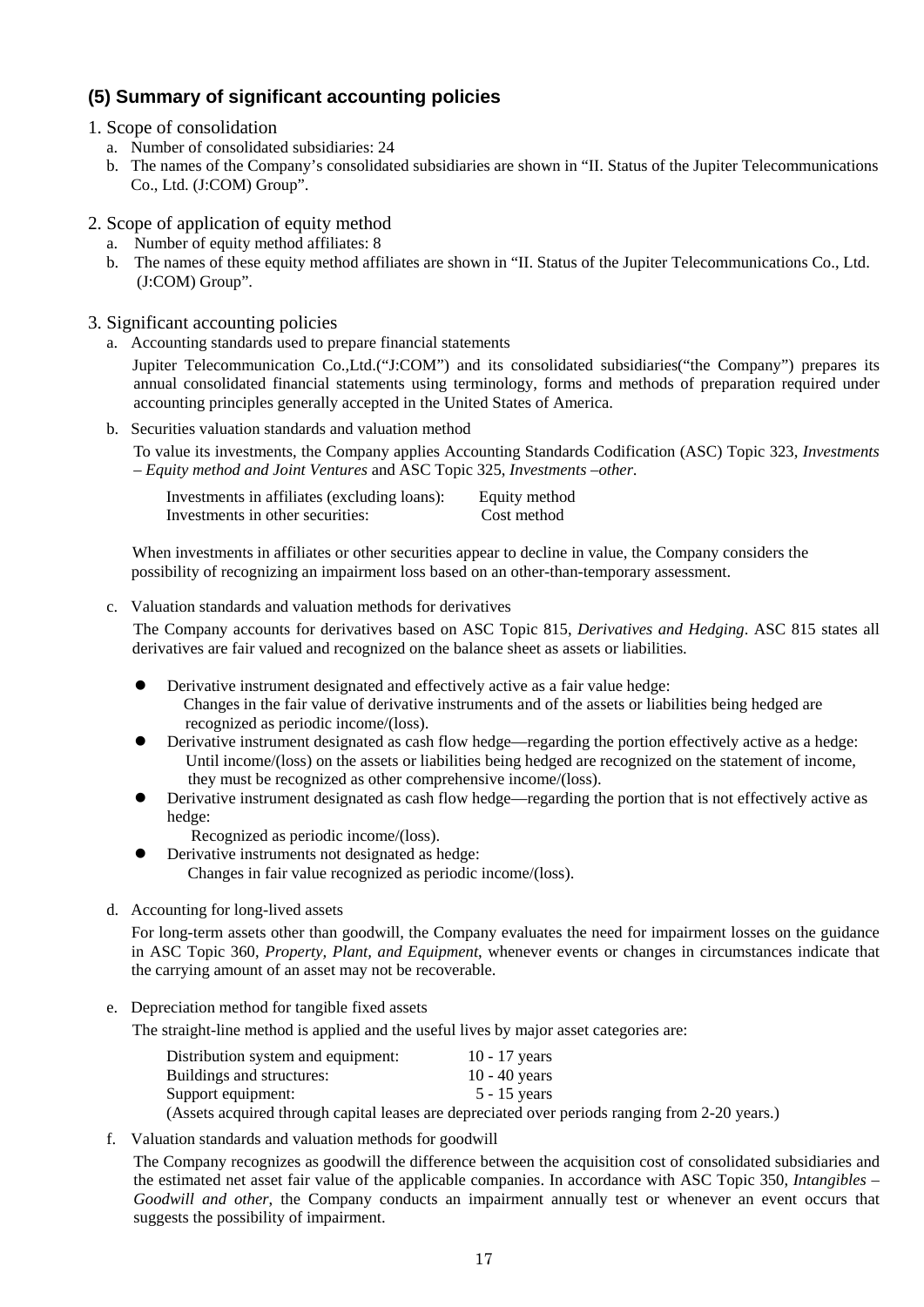## **(5) Summary of significant accounting policies**

- 1. Scope of consolidation
	- a. Number of consolidated subsidiaries: 24
	- b. The names of the Company's consolidated subsidiaries are shown in "II. Status of the Jupiter Telecommunications Co., Ltd. (J:COM) Group".

#### 2. Scope of application of equity method

- a. Number of equity method affiliates: 8
- b. The names of these equity method affiliates are shown in "II. Status of the Jupiter Telecommunications Co., Ltd. (J:COM) Group".
- 3. Significant accounting policies
	- a. Accounting standards used to prepare financial statements

Jupiter Telecommunication Co.,Ltd.("J:COM") and its consolidated subsidiaries("the Company") prepares its annual consolidated financial statements using terminology, forms and methods of preparation required under accounting principles generally accepted in the United States of America.

b. Securities valuation standards and valuation method

To value its investments, the Company applies Accounting Standards Codification (ASC) Topic 323, *Investments – Equity method and Joint Ventures* and ASC Topic 325, *Investments –other*.

|                                  | Investments in affiliates (excluding loans): | Equity method |
|----------------------------------|----------------------------------------------|---------------|
| Investments in other securities: |                                              | Cost method   |

When investments in affiliates or other securities appear to decline in value, the Company considers the possibility of recognizing an impairment loss based on an other-than-temporary assessment.

c. Valuation standards and valuation methods for derivatives

The Company accounts for derivatives based on ASC Topic 815, *Derivatives and Hedging*. ASC 815 states all derivatives are fair valued and recognized on the balance sheet as assets or liabilities.

- Derivative instrument designated and effectively active as a fair value hedge: Changes in the fair value of derivative instruments and of the assets or liabilities being hedged are recognized as periodic income/(loss).
- Derivative instrument designated as cash flow hedge—regarding the portion effectively active as a hedge: Until income/(loss) on the assets or liabilities being hedged are recognized on the statement of income, they must be recognized as other comprehensive income/(loss).
- Derivative instrument designated as cash flow hedge—regarding the portion that is not effectively active as hedge:
	- Recognized as periodic income/(loss).
	- Derivative instruments not designated as hedge: Changes in fair value recognized as periodic income/(loss).
- d. Accounting for long-lived assets

For long-term assets other than goodwill, the Company evaluates the need for impairment losses on the guidance in ASC Topic 360, *Property, Plant, and Equipment*, whenever events or changes in circumstances indicate that the carrying amount of an asset may not be recoverable.

e. Depreciation method for tangible fixed assets

The straight-line method is applied and the useful lives by major asset categories are:

| Distribution system and equipment: | 10 - 17 years                                                                                  |
|------------------------------------|------------------------------------------------------------------------------------------------|
| Buildings and structures:          | 10 - 40 years                                                                                  |
| Support equipment:                 | $5 - 15$ vears                                                                                 |
|                                    | (Assets acquired through capital leases are depreciated over periods ranging from 2-20 years.) |

f. Valuation standards and valuation methods for goodwill

The Company recognizes as goodwill the difference between the acquisition cost of consolidated subsidiaries and the estimated net asset fair value of the applicable companies. In accordance with ASC Topic 350, *Intangibles – Goodwill and other*, the Company conducts an impairment annually test or whenever an event occurs that suggests the possibility of impairment.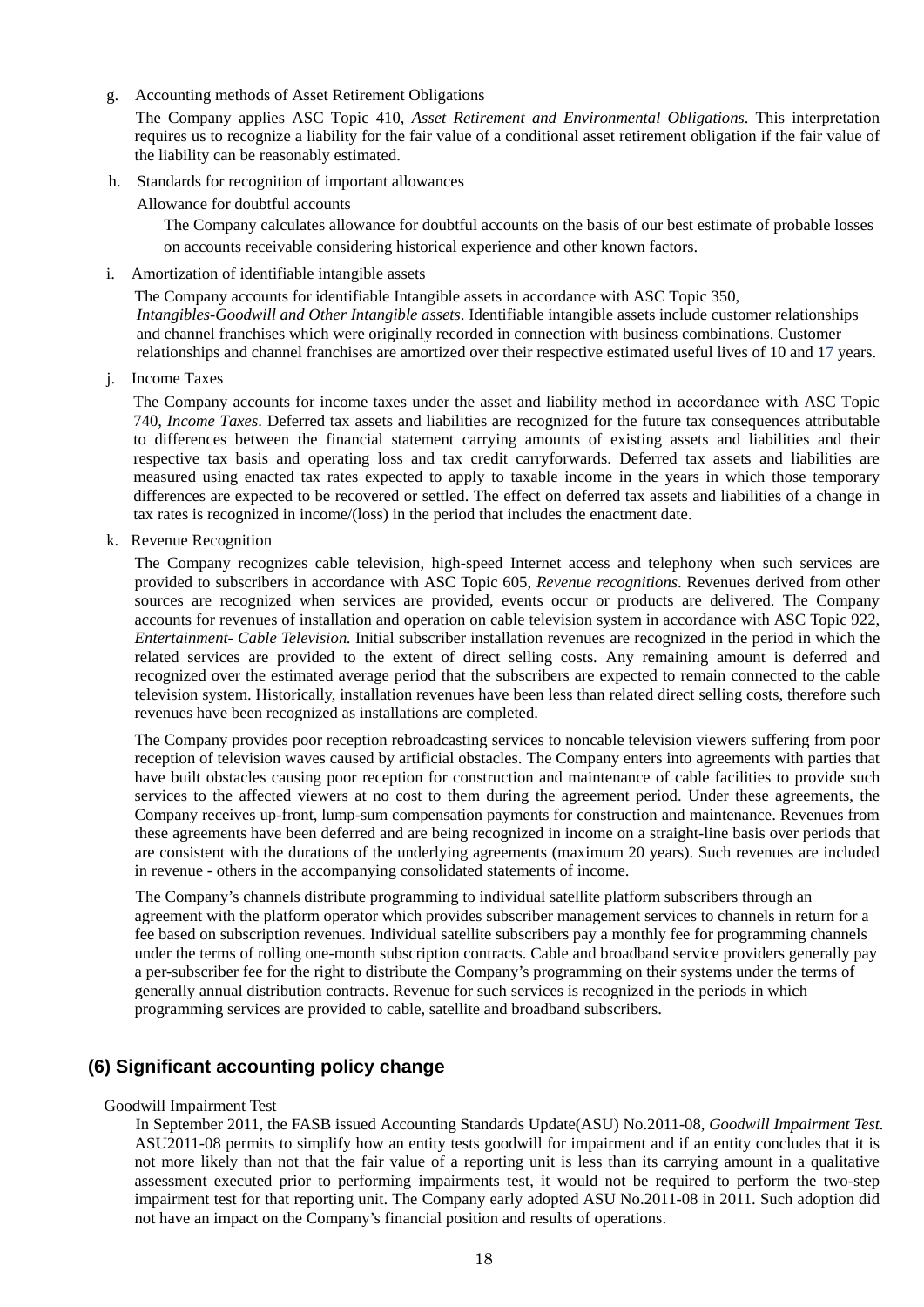g. Accounting methods of Asset Retirement Obligations

The Company applies ASC Topic 410, *Asset Retirement and Environmental Obligations*. This interpretation requires us to recognize a liability for the fair value of a conditional asset retirement obligation if the fair value of the liability can be reasonably estimated.

h. Standards for recognition of important allowances

Allowance for doubtful accounts

The Company calculates allowance for doubtful accounts on the basis of our best estimate of probable losses on accounts receivable considering historical experience and other known factors.

i. Amortization of identifiable intangible assets

The Company accounts for identifiable Intangible assets in accordance with ASC Topic 350, *Intangibles-Goodwill and Other Intangible assets*. Identifiable intangible assets include customer relationships and channel franchises which were originally recorded in connection with business combinations. Customer relationships and channel franchises are amortized over their respective estimated useful lives of 10 and 17 years.

j. Income Taxes

The Company accounts for income taxes under the asset and liability method in accordance with ASC Topic 740, *Income Taxes*. Deferred tax assets and liabilities are recognized for the future tax consequences attributable to differences between the financial statement carrying amounts of existing assets and liabilities and their respective tax basis and operating loss and tax credit carryforwards. Deferred tax assets and liabilities are measured using enacted tax rates expected to apply to taxable income in the years in which those temporary differences are expected to be recovered or settled. The effect on deferred tax assets and liabilities of a change in tax rates is recognized in income/(loss) in the period that includes the enactment date.

k. Revenue Recognition

The Company recognizes cable television, high-speed Internet access and telephony when such services are provided to subscribers in accordance with ASC Topic 605, *Revenue recognitions*. Revenues derived from other sources are recognized when services are provided, events occur or products are delivered. The Company accounts for revenues of installation and operation on cable television system in accordance with ASC Topic 922, *Entertainment- Cable Television.* Initial subscriber installation revenues are recognized in the period in which the related services are provided to the extent of direct selling costs. Any remaining amount is deferred and recognized over the estimated average period that the subscribers are expected to remain connected to the cable television system. Historically, installation revenues have been less than related direct selling costs, therefore such revenues have been recognized as installations are completed.

The Company provides poor reception rebroadcasting services to noncable television viewers suffering from poor reception of television waves caused by artificial obstacles. The Company enters into agreements with parties that have built obstacles causing poor reception for construction and maintenance of cable facilities to provide such services to the affected viewers at no cost to them during the agreement period. Under these agreements, the Company receives up-front, lump-sum compensation payments for construction and maintenance. Revenues from these agreements have been deferred and are being recognized in income on a straight-line basis over periods that are consistent with the durations of the underlying agreements (maximum 20 years). Such revenues are included in revenue - others in the accompanying consolidated statements of income.

The Company's channels distribute programming to individual satellite platform subscribers through an agreement with the platform operator which provides subscriber management services to channels in return for a fee based on subscription revenues. Individual satellite subscribers pay a monthly fee for programming channels under the terms of rolling one-month subscription contracts. Cable and broadband service providers generally pay a per-subscriber fee for the right to distribute the Company's programming on their systems under the terms of generally annual distribution contracts. Revenue for such services is recognized in the periods in which programming services are provided to cable, satellite and broadband subscribers.

### **(6) Significant accounting policy change**

#### Goodwill Impairment Test

In September 2011, the FASB issued Accounting Standards Update(ASU) No.2011-08, *Goodwill Impairment Test.*  ASU2011-08 permits to simplify how an entity tests goodwill for impairment and if an entity concludes that it is not more likely than not that the fair value of a reporting unit is less than its carrying amount in a qualitative assessment executed prior to performing impairments test, it would not be required to perform the two-step impairment test for that reporting unit. The Company early adopted ASU No.2011-08 in 2011. Such adoption did not have an impact on the Company's financial position and results of operations.